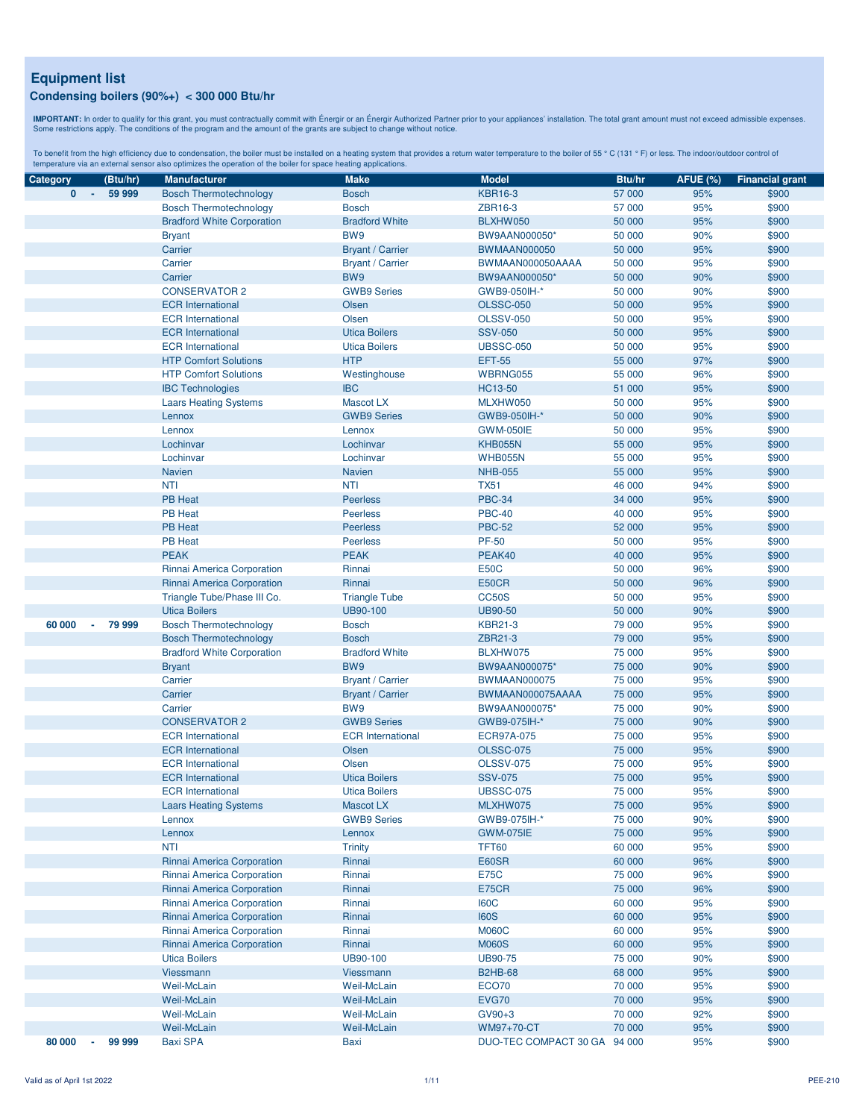**IMPORTANT:** In order to qualify for this grant, you must contractually commit with Énergir o an Énergir Authorized Partner prior to your appliances' installation. The total grant amount must not exceed admissible expenses

| Category                 | (Btu/hr)         | <b>Manufacturer</b>               | <b>Make</b>              | <b>Model</b>                 | Btu/hr | <b>AFUE (%)</b> | <b>Financial grant</b> |
|--------------------------|------------------|-----------------------------------|--------------------------|------------------------------|--------|-----------------|------------------------|
| $\mathbf{0}$<br>$\sim$   | 59 999           | <b>Bosch Thermotechnology</b>     | <b>Bosch</b>             | <b>KBR16-3</b>               | 57 000 | 95%             | \$900                  |
|                          |                  | <b>Bosch Thermotechnology</b>     | <b>Bosch</b>             | ZBR16-3                      | 57 000 | 95%             | \$900                  |
|                          |                  | <b>Bradford White Corporation</b> | <b>Bradford White</b>    | BLXHW050                     | 50 000 | 95%             | \$900                  |
|                          |                  | <b>Bryant</b>                     | BW9                      | BW9AAN000050*                | 50 000 | 90%             | \$900                  |
|                          |                  | Carrier                           | <b>Bryant / Carrier</b>  | <b>BWMAAN000050</b>          | 50 000 | 95%             | \$900                  |
|                          |                  | Carrier                           | <b>Bryant / Carrier</b>  | BWMAAN000050AAAA             | 50 000 | 95%             | \$900                  |
|                          |                  | Carrier                           | BW9                      | BW9AAN000050*                | 50 000 | 90%             | \$900                  |
|                          |                  | <b>CONSERVATOR 2</b>              | <b>GWB9 Series</b>       | GWB9-050IH-*                 | 50 000 | 90%             | \$900                  |
|                          |                  | <b>ECR</b> International          | Olsen                    | <b>OLSSC-050</b>             | 50 000 | 95%             | \$900                  |
|                          |                  | <b>ECR</b> International          | Olsen                    | <b>OLSSV-050</b>             | 50 000 | 95%             | \$900                  |
|                          |                  | <b>ECR</b> International          | <b>Utica Boilers</b>     | <b>SSV-050</b>               | 50 000 | 95%             | \$900                  |
|                          |                  | <b>ECR</b> International          | <b>Utica Boilers</b>     | <b>UBSSC-050</b>             | 50 000 | 95%             | \$900                  |
|                          |                  | <b>HTP Comfort Solutions</b>      | <b>HTP</b>               | <b>EFT-55</b>                | 55 000 | 97%             | \$900                  |
|                          |                  | <b>HTP Comfort Solutions</b>      | Westinghouse             | WBRNG055                     | 55 000 | 96%             | \$900                  |
|                          |                  | <b>IBC Technologies</b>           | <b>IBC</b>               | HC13-50                      | 51 000 | 95%             | \$900                  |
|                          |                  | <b>Laars Heating Systems</b>      | <b>Mascot LX</b>         | MLXHW050                     | 50 000 | 95%             | \$900                  |
|                          |                  | Lennox                            | <b>GWB9 Series</b>       | GWB9-050IH-*                 | 50 000 | 90%             | \$900                  |
|                          |                  | Lennox                            | Lennox                   | <b>GWM-050IE</b>             | 50 000 | 95%             | \$900                  |
|                          |                  | Lochinvar                         | Lochinvar                | <b>KHB055N</b>               | 55 000 | 95%             | \$900                  |
|                          |                  | Lochinvar                         | Lochinvar                | <b>WHB055N</b>               | 55 000 | 95%             | \$900                  |
|                          |                  | <b>Navien</b>                     | <b>Navien</b>            | <b>NHB-055</b>               | 55 000 | 95%             | \$900                  |
|                          |                  |                                   |                          |                              |        |                 |                        |
|                          |                  | <b>NTI</b>                        | <b>NTI</b>               | <b>TX51</b>                  | 46 000 | 94%             | \$900                  |
|                          |                  | <b>PB Heat</b>                    | <b>Peerless</b>          | <b>PBC-34</b>                | 34 000 | 95%             | \$900                  |
|                          |                  | <b>PB Heat</b>                    | <b>Peerless</b>          | <b>PBC-40</b>                | 40 000 | 95%             | \$900                  |
|                          |                  | <b>PB Heat</b>                    | <b>Peerless</b>          | <b>PBC-52</b>                | 52 000 | 95%             | \$900                  |
|                          |                  | <b>PB Heat</b>                    | <b>Peerless</b>          | <b>PF-50</b>                 | 50 000 | 95%             | \$900                  |
|                          |                  | <b>PEAK</b>                       | <b>PEAK</b>              | PEAK40                       | 40 000 | 95%             | \$900                  |
|                          |                  | Rinnai America Corporation        | Rinnai                   | <b>E50C</b>                  | 50 000 | 96%             | \$900                  |
|                          |                  | Rinnai America Corporation        | Rinnai                   | <b>E50CR</b>                 | 50 000 | 96%             | \$900                  |
|                          |                  | Triangle Tube/Phase III Co.       | <b>Triangle Tube</b>     | CC50S                        | 50 000 | 95%             | \$900                  |
|                          |                  | <b>Utica Boilers</b>              | UB90-100                 | <b>UB90-50</b>               | 50 000 | 90%             | \$900                  |
| 60 000<br>$\blacksquare$ | 79 999           | <b>Bosch Thermotechnology</b>     | <b>Bosch</b>             | <b>KBR21-3</b>               | 79 000 | 95%             | \$900                  |
|                          |                  | <b>Bosch Thermotechnology</b>     | <b>Bosch</b>             | ZBR21-3                      | 79 000 | 95%             | \$900                  |
|                          |                  | <b>Bradford White Corporation</b> | <b>Bradford White</b>    | BLXHW075                     | 75 000 | 95%             | \$900                  |
|                          |                  | <b>Bryant</b>                     | BW9                      | BW9AAN000075*                | 75 000 | 90%             | \$900                  |
|                          |                  | Carrier                           | <b>Bryant / Carrier</b>  | <b>BWMAAN000075</b>          | 75 000 | 95%             | \$900                  |
|                          |                  | Carrier                           | <b>Bryant / Carrier</b>  | BWMAAN000075AAAA             | 75 000 | 95%             | \$900                  |
|                          |                  | Carrier                           | BW9                      | BW9AAN000075*                | 75 000 | 90%             | \$900                  |
|                          |                  | <b>CONSERVATOR 2</b>              | <b>GWB9 Series</b>       | GWB9-075IH-*                 | 75 000 | 90%             | \$900                  |
|                          |                  | <b>ECR</b> International          | <b>ECR</b> International | ECR97A-075                   | 75 000 | 95%             | \$900                  |
|                          |                  | <b>ECR</b> International          | Olsen                    | <b>OLSSC-075</b>             | 75 000 | 95%             | \$900                  |
|                          |                  | <b>ECR</b> International          | Olsen                    | <b>OLSSV-075</b>             | 75 000 | 95%             | \$900                  |
|                          |                  | <b>ECR</b> International          | <b>Utica Boilers</b>     | <b>SSV-075</b>               | 75 000 | 95%             | \$900                  |
|                          |                  | <b>ECR</b> International          | <b>Utica Boilers</b>     | <b>UBSSC-075</b>             | 75 000 | 95%             | \$900                  |
|                          |                  | <b>Laars Heating Systems</b>      | Mascot LX                | MLXHW075                     | 75 000 | 95%             | \$900                  |
|                          |                  | Lennox                            | <b>GWB9 Series</b>       | GWB9-075IH-*                 | 75 000 | 90%             | \$900                  |
|                          |                  | Lennox                            | Lennox                   | <b>GWM-075IE</b>             | 75 000 | 95%             | \$900                  |
|                          |                  | <b>NTI</b>                        | <b>Trinity</b>           | <b>TFT60</b>                 | 60 000 | 95%             | \$900                  |
|                          |                  | Rinnai America Corporation        | Rinnai                   | E60SR                        | 60 000 | 96%             | \$900                  |
|                          |                  | Rinnai America Corporation        | Rinnai                   | <b>E75C</b>                  | 75 000 | 96%             | \$900                  |
|                          |                  | Rinnai America Corporation        | Rinnai                   | <b>E75CR</b>                 | 75 000 | 96%             | \$900                  |
|                          |                  | Rinnai America Corporation        | Rinnai                   | <b>I60C</b>                  | 60 000 | 95%             | \$900                  |
|                          |                  | Rinnai America Corporation        | Rinnai                   | <b>I60S</b>                  | 60 000 | 95%             | \$900                  |
|                          |                  | Rinnai America Corporation        | Rinnai                   | <b>M060C</b>                 | 60 000 | 95%             | \$900                  |
|                          |                  | Rinnai America Corporation        | Rinnai                   | <b>M060S</b>                 | 60 000 | 95%             | \$900                  |
|                          |                  | <b>Utica Boilers</b>              | UB90-100                 | <b>UB90-75</b>               | 75 000 | 90%             | \$900                  |
|                          |                  | Viessmann                         | Viessmann                | <b>B2HB-68</b>               | 68 000 | 95%             | \$900                  |
|                          |                  | Weil-McLain                       | Weil-McLain              | ECO70                        | 70 000 | 95%             | \$900                  |
|                          |                  | Weil-McLain                       | Weil-McLain              | <b>EVG70</b>                 | 70 000 | 95%             | \$900                  |
|                          |                  | Weil-McLain                       | Weil-McLain              | GV90+3                       | 70 000 | 92%             | \$900                  |
|                          |                  | Weil-McLain                       | <b>Weil-McLain</b>       | WM97+70-CT                   | 70 000 | 95%             | \$900                  |
| 80 000                   | 99 999<br>$\sim$ | <b>Baxi SPA</b>                   | Baxi                     | DUO-TEC COMPACT 30 GA 94 000 |        | 95%             | \$900                  |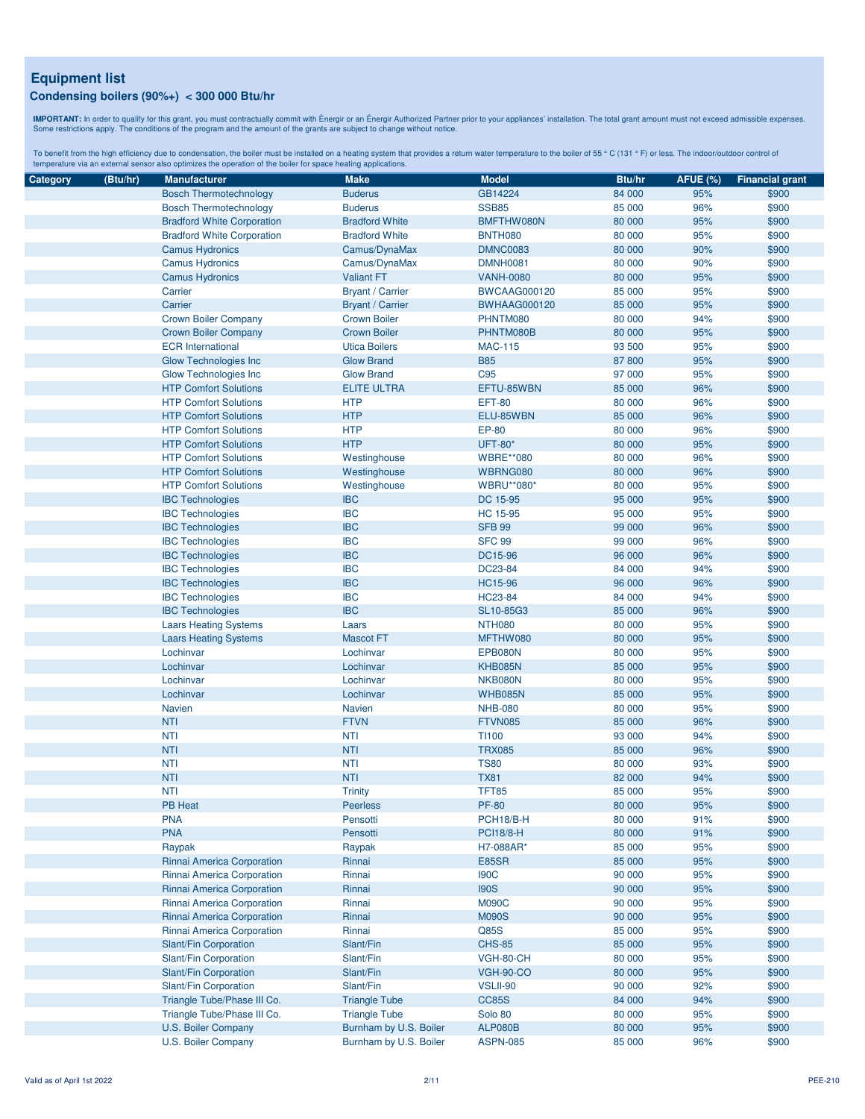**IMPORTANT:** In order to qualify for this grant, you must contractually commit with Énergir o an Énergir Authorized Partner prior to your appliances' installation. The total grant amount must not exceed admissible expenses

| Category | (Btu/hr) | <b>Manufacturer</b>                                          | <b>Make</b>             | <b>Model</b>        | Btu/hr | <b>AFUE (%)</b> | <b>Financial grant</b> |
|----------|----------|--------------------------------------------------------------|-------------------------|---------------------|--------|-----------------|------------------------|
|          |          | <b>Bosch Thermotechnology</b>                                | <b>Buderus</b>          | GB14224             | 84 000 | 95%             | \$900                  |
|          |          | <b>Bosch Thermotechnology</b>                                | <b>Buderus</b>          | <b>SSB85</b>        | 85 000 | 96%             | \$900                  |
|          |          | <b>Bradford White Corporation</b>                            | <b>Bradford White</b>   | BMFTHW080N          | 80 000 | 95%             | \$900                  |
|          |          | <b>Bradford White Corporation</b>                            | <b>Bradford White</b>   | <b>BNTH080</b>      | 80 000 | 95%             | \$900                  |
|          |          | <b>Camus Hydronics</b>                                       | Camus/DynaMax           | <b>DMNC0083</b>     | 80 000 | 90%             | \$900                  |
|          |          | <b>Camus Hydronics</b>                                       | Camus/DynaMax           | <b>DMNH0081</b>     | 80 000 | 90%             | \$900                  |
|          |          | <b>Camus Hydronics</b>                                       | <b>Valiant FT</b>       | <b>VANH-0080</b>    | 80 000 | 95%             | \$900                  |
|          |          | Carrier                                                      | <b>Bryant / Carrier</b> | <b>BWCAAG000120</b> | 85 000 | 95%             | \$900                  |
|          |          | Carrier                                                      | <b>Bryant / Carrier</b> | <b>BWHAAG000120</b> | 85 000 | 95%             | \$900                  |
|          |          | Crown Boiler Company                                         | <b>Crown Boiler</b>     | PHNTM080            | 80 000 | 94%             | \$900                  |
|          |          | <b>Crown Boiler Company</b>                                  | <b>Crown Boiler</b>     | PHNTM080B           | 80 000 | 95%             | \$900                  |
|          |          | <b>ECR</b> International                                     | <b>Utica Boilers</b>    | <b>MAC-115</b>      | 93 500 | 95%             | \$900                  |
|          |          | <b>Glow Technologies Inc.</b>                                | <b>Glow Brand</b>       | <b>B85</b>          | 87 800 | 95%             | \$900                  |
|          |          | Glow Technologies Inc                                        | <b>Glow Brand</b>       | C <sub>95</sub>     | 97 000 | 95%             | \$900                  |
|          |          | <b>HTP Comfort Solutions</b>                                 | <b>ELITE ULTRA</b>      | EFTU-85WBN          | 85 000 | 96%             | \$900                  |
|          |          | <b>HTP Comfort Solutions</b>                                 | <b>HTP</b>              | <b>EFT-80</b>       | 80 000 | 96%             | \$900                  |
|          |          | <b>HTP Comfort Solutions</b>                                 | <b>HTP</b>              | ELU-85WBN           | 85 000 | 96%             | \$900                  |
|          |          | <b>HTP Comfort Solutions</b>                                 | <b>HTP</b>              | EP-80               | 80 000 | 96%             | \$900                  |
|          |          | <b>HTP Comfort Solutions</b>                                 | <b>HTP</b>              | <b>UFT-80*</b>      | 80 000 | 95%             | \$900                  |
|          |          |                                                              |                         |                     |        | 96%             | \$900                  |
|          |          | <b>HTP Comfort Solutions</b><br><b>HTP Comfort Solutions</b> | Westinghouse            | <b>WBRE**080</b>    | 80 000 |                 |                        |
|          |          |                                                              | Westinghouse            | WBRNG080            | 80 000 | 96%             | \$900                  |
|          |          | <b>HTP Comfort Solutions</b>                                 | Westinghouse            | <b>WBRU**080*</b>   | 80 000 | 95%             | \$900                  |
|          |          | <b>IBC Technologies</b>                                      | <b>IBC</b>              | DC 15-95            | 95 000 | 95%             | \$900                  |
|          |          | <b>IBC Technologies</b>                                      | <b>IBC</b>              | HC 15-95            | 95 000 | 95%             | \$900                  |
|          |          | <b>IBC Technologies</b>                                      | <b>IBC</b>              | <b>SFB 99</b>       | 99 000 | 96%             | \$900                  |
|          |          | <b>IBC Technologies</b>                                      | <b>IBC</b>              | <b>SFC 99</b>       | 99 000 | 96%             | \$900                  |
|          |          | <b>IBC Technologies</b>                                      | <b>IBC</b>              | DC15-96             | 96 000 | 96%             | \$900                  |
|          |          | <b>IBC Technologies</b>                                      | <b>IBC</b>              | DC23-84             | 84 000 | 94%             | \$900                  |
|          |          | <b>IBC Technologies</b>                                      | <b>IBC</b>              | <b>HC15-96</b>      | 96 000 | 96%             | \$900                  |
|          |          | <b>IBC Technologies</b>                                      | <b>IBC</b>              | HC23-84             | 84 000 | 94%             | \$900                  |
|          |          | <b>IBC Technologies</b>                                      | <b>IBC</b>              | SL10-85G3           | 85 000 | 96%             | \$900                  |
|          |          | <b>Laars Heating Systems</b>                                 | Laars                   | <b>NTH080</b>       | 80 000 | 95%             | \$900                  |
|          |          | <b>Laars Heating Systems</b>                                 | <b>Mascot FT</b>        | MFTHW080            | 80 000 | 95%             | \$900                  |
|          |          | Lochinvar                                                    | Lochinvar               | EPB080N             | 80 000 | 95%             | \$900                  |
|          |          | Lochinvar                                                    | Lochinvar               | <b>KHB085N</b>      | 85 000 | 95%             | \$900                  |
|          |          | Lochinvar                                                    | Lochinvar               | NKB080N             | 80 000 | 95%             | \$900                  |
|          |          | Lochinvar                                                    | Lochinvar               | <b>WHB085N</b>      | 85 000 | 95%             | \$900                  |
|          |          | Navien                                                       | <b>Navien</b>           | <b>NHB-080</b>      | 80 000 | 95%             | \$900                  |
|          |          | <b>NTI</b>                                                   | <b>FTVN</b>             | <b>FTVN085</b>      | 85 000 | 96%             | \$900                  |
|          |          | <b>NTI</b>                                                   | NTI                     | <b>TI100</b>        | 93 000 | 94%             | \$900                  |
|          |          | <b>NTI</b>                                                   | <b>NTI</b>              | <b>TRX085</b>       | 85 000 | 96%             | \$900                  |
|          |          | <b>NTI</b>                                                   | <b>NTI</b>              | <b>TS80</b>         | 80 000 | 93%             | \$900                  |
|          |          | <b>NTI</b>                                                   | <b>NTI</b>              | <b>TX81</b>         | 82 000 | 94%             | \$900                  |
|          |          | <b>NTI</b>                                                   | <b>Trinity</b>          | <b>TFT85</b>        | 85 000 | 95%             | \$900                  |
|          |          | PB Heat                                                      | Peerless                | <b>PF-80</b>        | 80 000 | 95%             | \$900                  |
|          |          | <b>PNA</b>                                                   | Pensotti                | PCH18/B-H           | 80 000 | 91%             | \$900                  |
|          |          | <b>PNA</b>                                                   | Pensotti                | <b>PCI18/8-H</b>    | 80 000 | 91%             | \$900                  |
|          |          | Raypak                                                       | Raypak                  | H7-088AR*           | 85 000 | 95%             | \$900                  |
|          |          | Rinnai America Corporation                                   | Rinnai                  | E85SR               | 85 000 | 95%             | \$900                  |
|          |          | Rinnai America Corporation                                   | Rinnai                  | <b>190C</b>         | 90 000 | 95%             | \$900                  |
|          |          | Rinnai America Corporation                                   | Rinnai                  | <b>190S</b>         | 90 000 | 95%             | \$900                  |
|          |          | Rinnai America Corporation                                   | Rinnai                  | <b>M090C</b>        | 90 000 | 95%             | \$900                  |
|          |          | Rinnai America Corporation                                   | Rinnai                  | <b>M090S</b>        | 90 000 | 95%             | \$900                  |
|          |          | Rinnai America Corporation                                   | Rinnai                  | Q85S                | 85 000 | 95%             | \$900                  |
|          |          | Slant/Fin Corporation                                        | Slant/Fin               | <b>CHS-85</b>       | 85 000 | 95%             | \$900                  |
|          |          | Slant/Fin Corporation                                        | Slant/Fin               | VGH-80-CH           | 80 000 | 95%             | \$900                  |
|          |          | Slant/Fin Corporation                                        | Slant/Fin               | <b>VGH-90-CO</b>    | 80 000 | 95%             | \$900                  |
|          |          | Slant/Fin Corporation                                        | Slant/Fin               | VSLII-90            | 90 000 | 92%             | \$900                  |
|          |          | Triangle Tube/Phase III Co.                                  | <b>Triangle Tube</b>    | <b>CC85S</b>        | 84 000 | 94%             | \$900                  |
|          |          | Triangle Tube/Phase III Co.                                  | <b>Triangle Tube</b>    | Solo 80             | 80 000 | 95%             | \$900                  |
|          |          | U.S. Boiler Company                                          | Burnham by U.S. Boiler  | <b>ALP080B</b>      | 80 000 | 95%             | \$900                  |
|          |          | U.S. Boiler Company                                          | Burnham by U.S. Boiler  | <b>ASPN-085</b>     | 85 000 | 96%             | \$900                  |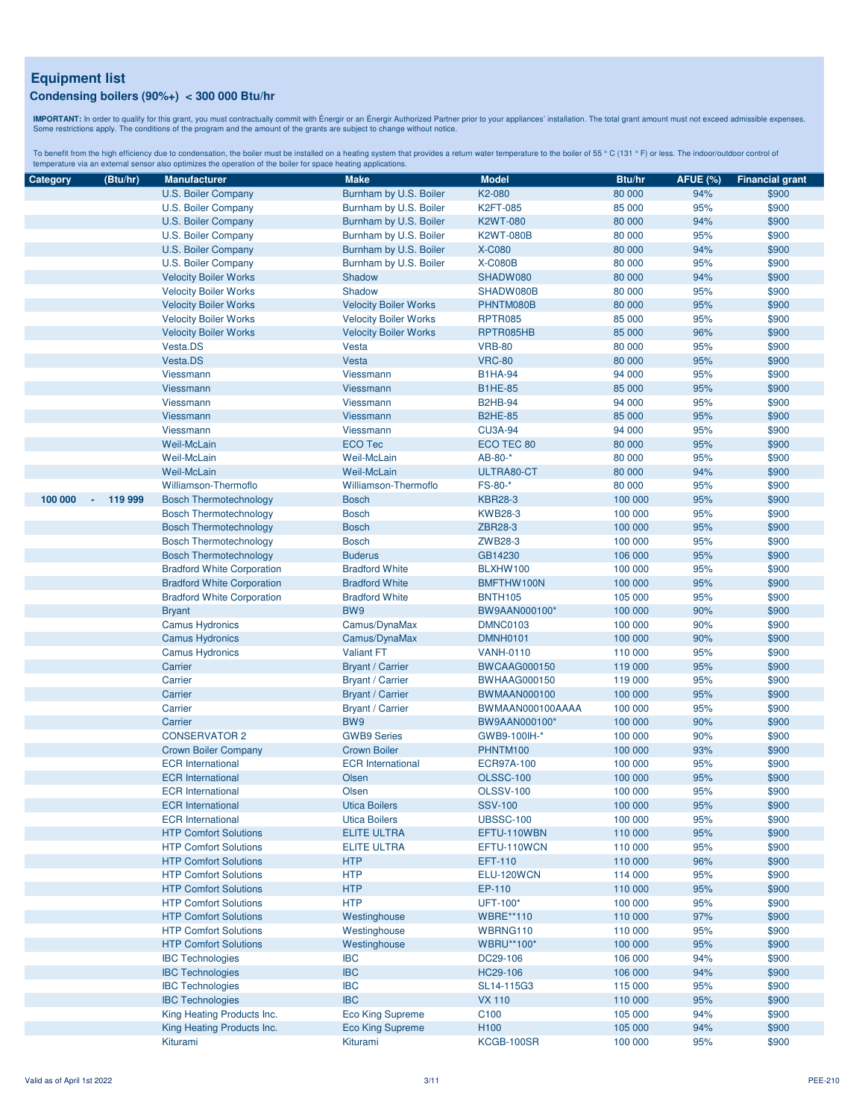**IMPORTANT:** In order to qualify for this grant, you must contractually commit with Énergir o an Énergir Authorized Partner prior to your appliances' installation. The total grant amount must not exceed admissible expenses

| Category | (Btu/hr)                            | <b>Manufacturer</b>               | <b>Make</b>                  | <b>Model</b>                  | Btu/hr             | <b>AFUE (%)</b> | <b>Financial grant</b> |
|----------|-------------------------------------|-----------------------------------|------------------------------|-------------------------------|--------------------|-----------------|------------------------|
|          |                                     | U.S. Boiler Company               | Burnham by U.S. Boiler       | K2-080                        | 80 000             | 94%             | \$900                  |
|          |                                     | U.S. Boiler Company               | Burnham by U.S. Boiler       | <b>K2FT-085</b>               | 85 000             | 95%             | \$900                  |
|          |                                     | U.S. Boiler Company               | Burnham by U.S. Boiler       | <b>K2WT-080</b>               | 80 000             | 94%             | \$900                  |
|          |                                     | U.S. Boiler Company               | Burnham by U.S. Boiler       | <b>K2WT-080B</b>              | 80 000             | 95%             | \$900                  |
|          |                                     | U.S. Boiler Company               | Burnham by U.S. Boiler       | <b>X-C080</b>                 | 80 000             | 94%             | \$900                  |
|          |                                     | U.S. Boiler Company               | Burnham by U.S. Boiler       | <b>X-C080B</b>                | 80 000             | 95%             | \$900                  |
|          |                                     |                                   | Shadow                       | SHADW080                      |                    | 94%             |                        |
|          |                                     | <b>Velocity Boiler Works</b>      |                              |                               | 80 000             |                 | \$900                  |
|          |                                     | <b>Velocity Boiler Works</b>      | Shadow                       | SHADW080B                     | 80 000             | 95%             | \$900                  |
|          |                                     | <b>Velocity Boiler Works</b>      | <b>Velocity Boiler Works</b> | PHNTM080B                     | 80 000             | 95%             | \$900                  |
|          |                                     | <b>Velocity Boiler Works</b>      | <b>Velocity Boiler Works</b> | <b>RPTR085</b>                | 85 000             | 95%             | \$900                  |
|          |                                     | <b>Velocity Boiler Works</b>      | <b>Velocity Boiler Works</b> | RPTR085HB                     | 85 000             | 96%             | \$900                  |
|          |                                     | Vesta.DS                          | Vesta                        | <b>VRB-80</b>                 | 80 000             | 95%             | \$900                  |
|          |                                     | Vesta.DS                          | <b>Vesta</b>                 | <b>VRC-80</b>                 | 80 000             | 95%             | \$900                  |
|          |                                     | Viessmann                         | Viessmann                    | <b>B1HA-94</b>                | 94 000             | 95%             | \$900                  |
|          |                                     | Viessmann                         | Viessmann                    | <b>B1HE-85</b>                | 85 000             | 95%             | \$900                  |
|          |                                     | Viessmann                         | <b>Viessmann</b>             | <b>B2HB-94</b>                | 94 000             | 95%             | \$900                  |
|          |                                     | Viessmann                         | <b>Viessmann</b>             | <b>B2HE-85</b>                | 85 000             | 95%             | \$900                  |
|          |                                     | Viessmann                         | Viessmann                    | <b>CU3A-94</b>                | 94 000             | 95%             | \$900                  |
|          |                                     | Weil-McLain                       | <b>ECO Tec</b>               | ECO TEC 80                    | 80 000             | 95%             | \$900                  |
|          |                                     | Weil-McLain                       | <b>Weil-McLain</b>           | AB-80-*                       | 80 000             | 95%             | \$900                  |
|          |                                     | Weil-McLain                       | <b>Weil-McLain</b>           | ULTRA80-CT                    | 80 000             | 94%             | \$900                  |
|          |                                     | Williamson-Thermoflo              | <b>Williamson-Thermoflo</b>  | FS-80-*                       | 80 000             | 95%             | \$900                  |
| 100 000  | 119 999<br>$\overline{\phantom{a}}$ | <b>Bosch Thermotechnology</b>     | <b>Bosch</b>                 | <b>KBR28-3</b>                | 100 000            | 95%             | \$900                  |
|          |                                     | <b>Bosch Thermotechnology</b>     | <b>Bosch</b>                 | <b>KWB28-3</b>                | 100 000            | 95%             | \$900                  |
|          |                                     | <b>Bosch Thermotechnology</b>     | <b>Bosch</b>                 | ZBR28-3                       | 100 000            | 95%             | \$900                  |
|          |                                     | <b>Bosch Thermotechnology</b>     | <b>Bosch</b>                 | ZWB28-3                       | 100 000            | 95%             | \$900                  |
|          |                                     | <b>Bosch Thermotechnology</b>     | <b>Buderus</b>               | GB14230                       | 106 000            | 95%             | \$900                  |
|          |                                     | <b>Bradford White Corporation</b> | <b>Bradford White</b>        | BLXHW100                      | 100 000            | 95%             | \$900                  |
|          |                                     | <b>Bradford White Corporation</b> | <b>Bradford White</b>        | BMFTHW100N                    | 100 000            | 95%             | \$900                  |
|          |                                     | <b>Bradford White Corporation</b> | <b>Bradford White</b>        | <b>BNTH105</b>                | 105 000            | 95%             | \$900                  |
|          |                                     | <b>Bryant</b>                     | BW9                          | BW9AAN000100*                 | 100 000            | 90%             | \$900                  |
|          |                                     | <b>Camus Hydronics</b>            | Camus/DynaMax                | <b>DMNC0103</b>               | 100 000            | 90%             | \$900                  |
|          |                                     | <b>Camus Hydronics</b>            | Camus/DynaMax                | <b>DMNH0101</b>               | 100 000            | 90%             | \$900                  |
|          |                                     | <b>Camus Hydronics</b>            | <b>Valiant FT</b>            | <b>VANH-0110</b>              | 110 000            | 95%             | \$900                  |
|          |                                     | Carrier                           | <b>Bryant / Carrier</b>      | <b>BWCAAG000150</b>           | 119 000            | 95%             | \$900                  |
|          |                                     | Carrier                           | <b>Bryant / Carrier</b>      | <b>BWHAAG000150</b>           | 119 000            | 95%             | \$900                  |
|          |                                     | Carrier                           | <b>Bryant / Carrier</b>      | <b>BWMAAN000100</b>           | 100 000            | 95%             | \$900                  |
|          |                                     | Carrier                           | <b>Bryant / Carrier</b>      | BWMAAN000100AAAA              | 100 000            | 95%             | \$900                  |
|          |                                     | Carrier                           | BW9                          | BW9AAN000100*                 | 100 000            | 90%             | \$900                  |
|          |                                     | <b>CONSERVATOR 2</b>              | <b>GWB9 Series</b>           | GWB9-100IH-*                  | 100 000            | 90%             | \$900                  |
|          |                                     | <b>Crown Boiler Company</b>       | <b>Crown Boiler</b>          | PHNTM100                      | 100 000            | 93%             | \$900                  |
|          |                                     | <b>ECR</b> International          | <b>ECR</b> International     | <b>ECR97A-100</b>             | 100 000            | 95%             | \$900                  |
|          |                                     | <b>ECR</b> International          | Olsen                        | <b>OLSSC-100</b>              | 100 000            | 95%             | \$900                  |
|          |                                     | <b>ECR</b> International          | Olsen                        | <b>OLSSV-100</b>              | 100 000            | 95%             | \$900                  |
|          |                                     | <b>ECR</b> International          | <b>Utica Boilers</b>         | <b>SSV-100</b>                | 100 000            |                 | \$900                  |
|          |                                     | <b>ECR</b> International          | <b>Utica Boilers</b>         | <b>UBSSC-100</b>              | 100 000            | 95%<br>95%      | \$900                  |
|          |                                     | <b>HTP Comfort Solutions</b>      | <b>ELITE ULTRA</b>           | EFTU-110WBN                   | 110 000            | 95%             | \$900                  |
|          |                                     |                                   |                              |                               |                    |                 |                        |
|          |                                     | <b>HTP Comfort Solutions</b>      | <b>ELITE ULTRA</b>           | EFTU-110WCN<br><b>EFT-110</b> | 110 000<br>110 000 | 95%<br>96%      | \$900                  |
|          |                                     | <b>HTP Comfort Solutions</b>      | <b>HTP</b>                   | ELU-120WCN                    | 114 000            |                 | \$900                  |
|          |                                     | <b>HTP Comfort Solutions</b>      | <b>HTP</b><br><b>HTP</b>     |                               | 110 000            | 95%             | \$900                  |
|          |                                     | <b>HTP Comfort Solutions</b>      |                              | EP-110                        |                    | 95%             | \$900                  |
|          |                                     | <b>HTP Comfort Solutions</b>      | <b>HTP</b>                   | UFT-100*                      | 100 000            | 95%             | \$900                  |
|          |                                     | <b>HTP Comfort Solutions</b>      | Westinghouse                 | <b>WBRE**110</b>              | 110 000            | 97%             | \$900                  |
|          |                                     | <b>HTP Comfort Solutions</b>      | Westinghouse                 | WBRNG110                      | 110 000            | 95%             | \$900                  |
|          |                                     | <b>HTP Comfort Solutions</b>      | Westinghouse                 | <b>WBRU**100*</b>             | 100 000            | 95%             | \$900                  |
|          |                                     | <b>IBC Technologies</b>           | <b>IBC</b>                   | DC29-106                      | 106 000            | 94%             | \$900                  |
|          |                                     | <b>IBC Technologies</b>           | <b>IBC</b>                   | HC29-106                      | 106 000            | 94%             | \$900                  |
|          |                                     | <b>IBC Technologies</b>           | <b>IBC</b>                   | SL14-115G3                    | 115 000            | 95%             | \$900                  |
|          |                                     | <b>IBC Technologies</b>           | <b>IBC</b>                   | <b>VX 110</b>                 | 110 000            | 95%             | \$900                  |
|          |                                     | King Heating Products Inc.        | <b>Eco King Supreme</b>      | C <sub>100</sub>              | 105 000            | 94%             | \$900                  |
|          |                                     | King Heating Products Inc.        | <b>Eco King Supreme</b>      | H <sub>100</sub>              | 105 000            | 94%             | \$900                  |
|          |                                     | Kiturami                          | Kiturami                     | KCGB-100SR                    | 100 000            | 95%             | \$900                  |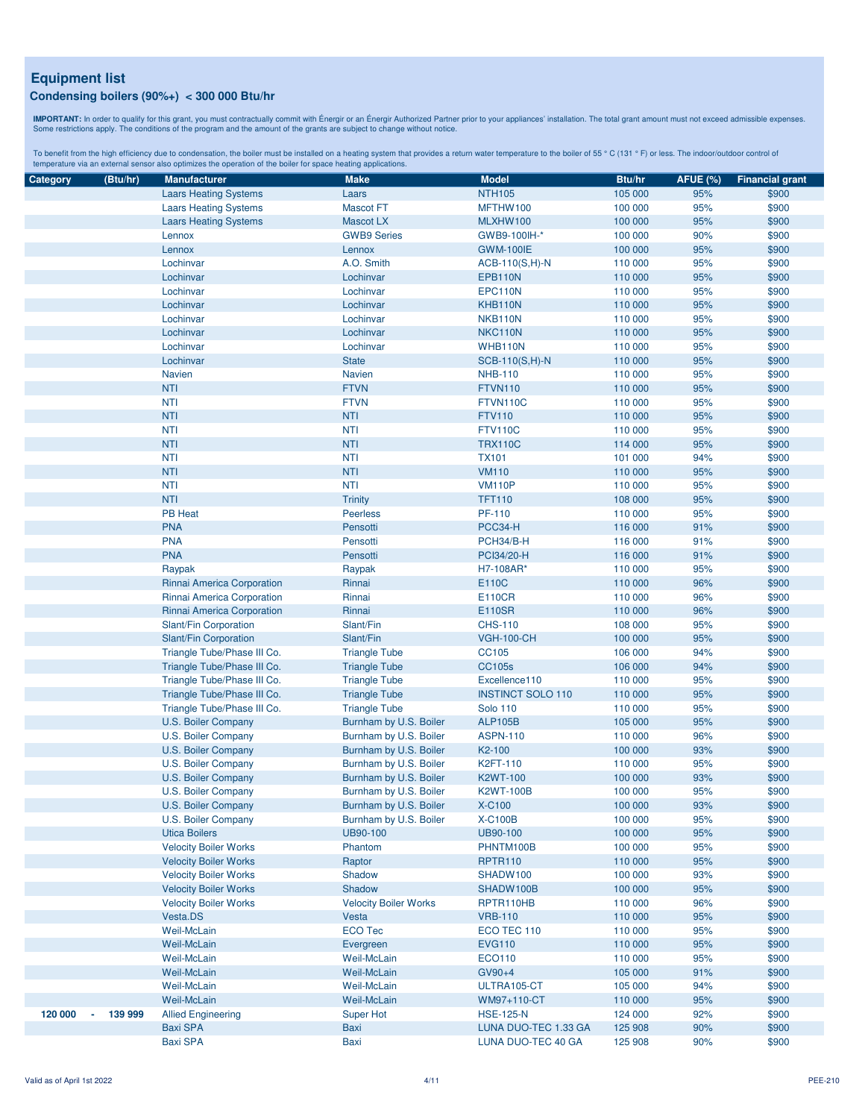**IMPORTANT:** In order to qualify for this grant, you must contractually commit with Énergir o an Énergir Authorized Partner prior to your appliances' installation. The total grant amount must not exceed admissible expenses

| Category | (Btu/hr) | <b>Manufacturer</b>          | <b>Make</b>                  | <b>Model</b>             | Btu/hr  | <b>AFUE (%)</b> | <b>Financial grant</b> |
|----------|----------|------------------------------|------------------------------|--------------------------|---------|-----------------|------------------------|
|          |          | <b>Laars Heating Systems</b> | Laars                        | <b>NTH105</b>            | 105 000 | 95%             | \$900                  |
|          |          | <b>Laars Heating Systems</b> | <b>Mascot FT</b>             | MFTHW100                 | 100 000 | 95%             | \$900                  |
|          |          | <b>Laars Heating Systems</b> | <b>Mascot LX</b>             | MLXHW100                 | 100 000 | 95%             | \$900                  |
|          |          | Lennox                       | <b>GWB9 Series</b>           | GWB9-100IH-*             | 100 000 | 90%             | \$900                  |
|          |          | Lennox                       | Lennox                       | <b>GWM-100IE</b>         | 100 000 | 95%             | \$900                  |
|          |          | Lochinvar                    | A.O. Smith                   | $ACB-110(S,H)-N$         | 110 000 | 95%             | \$900                  |
|          |          | Lochinvar                    | Lochinvar                    | <b>EPB110N</b>           | 110 000 | 95%             | \$900                  |
|          |          | Lochinvar                    | Lochinvar                    | EPC110N                  | 110 000 | 95%             | \$900                  |
|          |          | Lochinvar                    | Lochinvar                    | KHB110N                  | 110 000 | 95%             | \$900                  |
|          |          | Lochinvar                    | Lochinvar                    | NKB110N                  | 110 000 | 95%             | \$900                  |
|          |          | Lochinvar                    | Lochinvar                    | NKC110N                  | 110 000 | 95%             | \$900                  |
|          |          | Lochinvar                    | Lochinvar                    | WHB110N                  | 110 000 | 95%             | \$900                  |
|          |          | Lochinvar                    | <b>State</b>                 | SCB-110(S,H)-N           | 110 000 | 95%             | \$900                  |
|          |          | Navien                       | <b>Navien</b>                | <b>NHB-110</b>           | 110 000 | 95%             | \$900                  |
|          |          | <b>NTI</b>                   | <b>FTVN</b>                  | <b>FTVN110</b>           | 110 000 | 95%             | \$900                  |
|          |          | <b>NTI</b>                   | <b>FTVN</b>                  | FTVN110C                 | 110 000 | 95%             | \$900                  |
|          |          | <b>NTI</b>                   | <b>NTI</b>                   | <b>FTV110</b>            | 110 000 | 95%             | \$900                  |
|          |          | <b>NTI</b>                   | <b>NTI</b>                   | <b>FTV110C</b>           | 110 000 | 95%             | \$900                  |
|          |          | <b>NTI</b>                   | <b>NTI</b>                   | <b>TRX110C</b>           | 114 000 | 95%             | \$900                  |
|          |          | <b>NTI</b>                   | <b>NTI</b>                   | <b>TX101</b>             | 101 000 | 94%             | \$900                  |
|          |          | <b>NTI</b>                   | <b>NTI</b>                   | <b>VM110</b>             | 110 000 | 95%             | \$900                  |
|          |          |                              |                              |                          |         |                 |                        |
|          |          | <b>NTI</b>                   | <b>NTI</b>                   | <b>VM110P</b>            | 110 000 | 95%             | \$900                  |
|          |          | <b>NTI</b>                   | <b>Trinity</b>               | <b>TFT110</b>            | 108 000 | 95%             | \$900                  |
|          |          | <b>PB Heat</b>               | <b>Peerless</b>              | PF-110                   | 110 000 | 95%             | \$900                  |
|          |          | <b>PNA</b>                   | Pensotti                     | PCC34-H                  | 116 000 | 91%             | \$900                  |
|          |          | <b>PNA</b>                   | Pensotti                     | PCH34/B-H                | 116 000 | 91%             | \$900                  |
|          |          | <b>PNA</b>                   | Pensotti                     | PCI34/20-H               | 116 000 | 91%             | \$900                  |
|          |          | Raypak                       | Raypak                       | H7-108AR*                | 110 000 | 95%             | \$900                  |
|          |          | Rinnai America Corporation   | Rinnai                       | E110C                    | 110 000 | 96%             | \$900                  |
|          |          | Rinnai America Corporation   | Rinnai                       | E110CR                   | 110 000 | 96%             | \$900                  |
|          |          | Rinnai America Corporation   | Rinnai                       | <b>E110SR</b>            | 110 000 | 96%             | \$900                  |
|          |          | Slant/Fin Corporation        | Slant/Fin                    | <b>CHS-110</b>           | 108 000 | 95%             | \$900                  |
|          |          | Slant/Fin Corporation        | Slant/Fin                    | <b>VGH-100-CH</b>        | 100 000 | 95%             | \$900                  |
|          |          | Triangle Tube/Phase III Co.  | <b>Triangle Tube</b>         | CC105                    | 106 000 | 94%             | \$900                  |
|          |          | Triangle Tube/Phase III Co.  | <b>Triangle Tube</b>         | <b>CC105s</b>            | 106 000 | 94%             | \$900                  |
|          |          | Triangle Tube/Phase III Co.  | <b>Triangle Tube</b>         | Excellence110            | 110 000 | 95%             | \$900                  |
|          |          | Triangle Tube/Phase III Co.  | <b>Triangle Tube</b>         | <b>INSTINCT SOLO 110</b> | 110 000 | 95%             | \$900                  |
|          |          | Triangle Tube/Phase III Co.  | <b>Triangle Tube</b>         | <b>Solo 110</b>          | 110 000 | 95%             | \$900                  |
|          |          | U.S. Boiler Company          | Burnham by U.S. Boiler       | <b>ALP105B</b>           | 105 000 | 95%             | \$900                  |
|          |          | U.S. Boiler Company          | Burnham by U.S. Boiler       | <b>ASPN-110</b>          | 110 000 | 96%             | \$900                  |
|          |          | <b>U.S. Boiler Company</b>   | Burnham by U.S. Boiler       | K2-100                   | 100 000 | 93%             | \$900                  |
|          |          | U.S. Boiler Company          | Burnham by U.S. Boiler       | K2FT-110                 | 110 000 | 95%             | \$900                  |
|          |          | U.S. Boiler Company          | Burnham by U.S. Boiler       | <b>K2WT-100</b>          | 100 000 | 93%             | \$900                  |
|          |          | U.S. Boiler Company          | Burnham by U.S. Boiler       | <b>K2WT-100B</b>         | 100 000 | 95%             | \$900                  |
|          |          | U.S. Boiler Company          | Burnham by U.S. Boiler       | X-C100                   | 100 000 | 93%             | \$900                  |
|          |          | U.S. Boiler Company          | Burnham by U.S. Boiler       | <b>X-C100B</b>           | 100 000 | 95%             | \$900                  |
|          |          | <b>Utica Boilers</b>         | UB90-100                     | UB90-100                 | 100 000 | 95%             | \$900                  |
|          |          | <b>Velocity Boiler Works</b> | Phantom                      | PHNTM100B                | 100 000 | 95%             | \$900                  |
|          |          | <b>Velocity Boiler Works</b> | Raptor                       | <b>RPTR110</b>           | 110 000 | 95%             | \$900                  |
|          |          | <b>Velocity Boiler Works</b> | Shadow                       | SHADW100                 | 100 000 | 93%             | \$900                  |
|          |          | <b>Velocity Boiler Works</b> | Shadow                       | SHADW100B                | 100 000 | 95%             | \$900                  |
|          |          | <b>Velocity Boiler Works</b> | <b>Velocity Boiler Works</b> | RPTR110HB                | 110 000 | 96%             | \$900                  |
|          |          | Vesta.DS                     | Vesta                        | <b>VRB-110</b>           | 110 000 | 95%             | \$900                  |
|          |          | Weil-McLain                  | <b>ECO Tec</b>               | ECO TEC 110              | 110 000 | 95%             | \$900                  |
|          |          | Weil-McLain                  | Evergreen                    | <b>EVG110</b>            | 110 000 | 95%             | \$900                  |
|          |          | Weil-McLain                  | Weil-McLain                  | ECO110                   | 110 000 | 95%             | \$900                  |
|          |          | Weil-McLain                  | <b>Weil-McLain</b>           | GV90+4                   | 105 000 | 91%             | \$900                  |
|          |          | Weil-McLain                  | Weil-McLain                  | ULTRA105-CT              | 105 000 | 94%             | \$900                  |
|          |          | Weil-McLain                  | <b>Weil-McLain</b>           | WM97+110-CT              | 110 000 | 95%             | \$900                  |
| 120 000  | 139 999  | <b>Allied Engineering</b>    | Super Hot                    | <b>HSE-125-N</b>         | 124 000 | 92%             | \$900                  |
|          |          | <b>Baxi SPA</b>              | Baxi                         | LUNA DUO-TEC 1.33 GA     | 125 908 | 90%             | \$900                  |
|          |          | <b>Baxi SPA</b>              | <b>Baxi</b>                  | LUNA DUO-TEC 40 GA       | 125 908 | 90%             | \$900                  |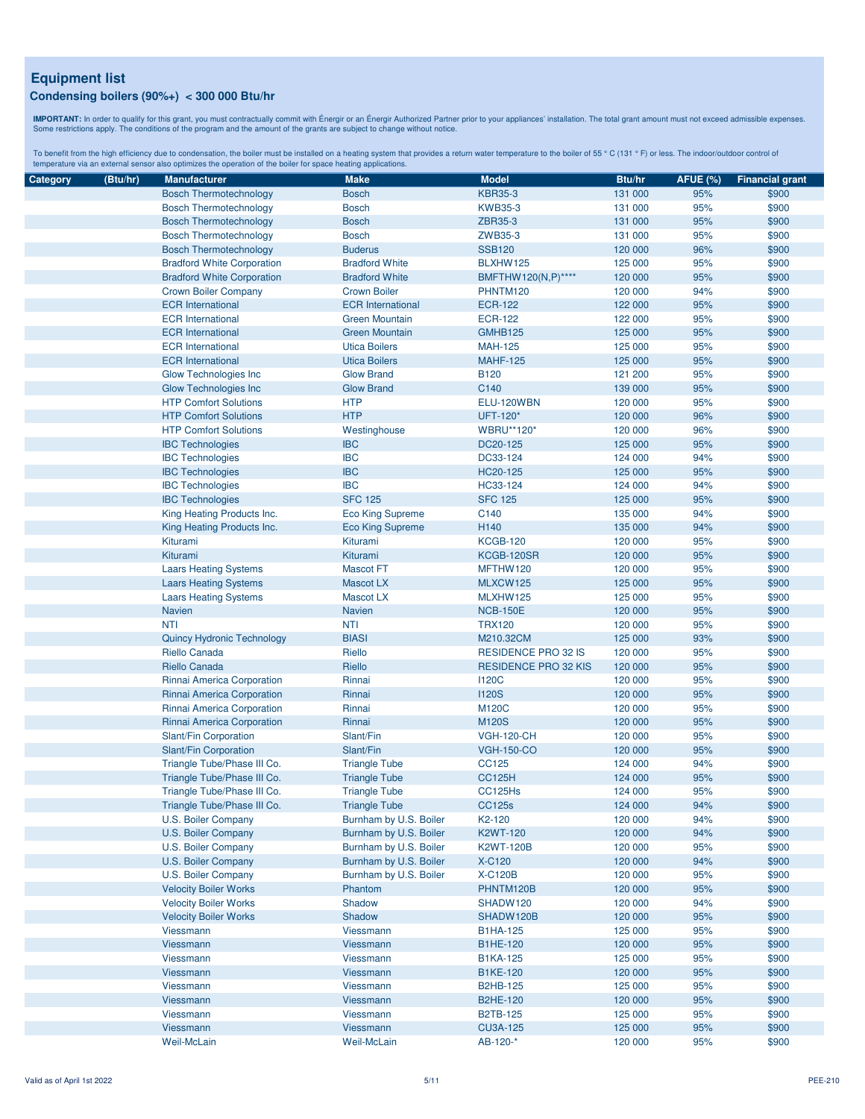**IMPORTANT:** In order to qualify for this grant, you must contractually commit with Énergir o an Énergir Authorized Partner prior to your appliances' installation. The total grant amount must not exceed admissible expenses

| Category | (Btu/hr) | <b>Manufacturer</b>                                        | <b>Make</b>              | <b>Model</b>                | Btu/hr             | <b>AFUE (%)</b> | <b>Financial grant</b> |
|----------|----------|------------------------------------------------------------|--------------------------|-----------------------------|--------------------|-----------------|------------------------|
|          |          | <b>Bosch Thermotechnology</b>                              | <b>Bosch</b>             | <b>KBR35-3</b>              | 131 000            | 95%             | \$900                  |
|          |          | <b>Bosch Thermotechnology</b>                              | <b>Bosch</b>             | <b>KWB35-3</b>              | 131 000            | 95%             | \$900                  |
|          |          | <b>Bosch Thermotechnology</b>                              | <b>Bosch</b>             | ZBR35-3                     | 131 000            | 95%             | \$900                  |
|          |          | <b>Bosch Thermotechnology</b>                              | <b>Bosch</b>             | ZWB35-3                     | 131 000            | 95%             | \$900                  |
|          |          | <b>Bosch Thermotechnology</b>                              | <b>Buderus</b>           | <b>SSB120</b>               | 120 000            | 96%             | \$900                  |
|          |          | <b>Bradford White Corporation</b>                          | <b>Bradford White</b>    | BLXHW125                    | 125 000            | 95%             | \$900                  |
|          |          | <b>Bradford White Corporation</b>                          | <b>Bradford White</b>    | BMFTHW120(N,P)****          | 120 000            | 95%             | \$900                  |
|          |          | <b>Crown Boiler Company</b>                                | <b>Crown Boiler</b>      | PHNTM120                    | 120 000            | 94%             | \$900                  |
|          |          | <b>ECR</b> International                                   | <b>ECR</b> International | <b>ECR-122</b>              | 122 000            | 95%             | \$900                  |
|          |          | <b>ECR</b> International                                   | <b>Green Mountain</b>    | <b>ECR-122</b>              | 122 000            | 95%             | \$900                  |
|          |          | <b>ECR</b> International                                   | <b>Green Mountain</b>    | GMHB125                     | 125 000            | 95%             | \$900                  |
|          |          | <b>ECR</b> International                                   | <b>Utica Boilers</b>     | <b>MAH-125</b>              | 125 000            | 95%             | \$900                  |
|          |          | <b>ECR</b> International                                   | <b>Utica Boilers</b>     | <b>MAHF-125</b>             | 125 000            | 95%             | \$900                  |
|          |          | <b>Glow Technologies Inc.</b>                              | <b>Glow Brand</b>        | <b>B120</b>                 | 121 200            | 95%             | \$900                  |
|          |          | <b>Glow Technologies Inc</b>                               | <b>Glow Brand</b>        | C140                        | 139 000            | 95%             | \$900                  |
|          |          | <b>HTP Comfort Solutions</b>                               | <b>HTP</b>               | ELU-120WBN                  | 120 000            | 95%             | \$900                  |
|          |          | <b>HTP Comfort Solutions</b>                               | <b>HTP</b>               | UFT-120*                    | 120 000            | 96%             | \$900                  |
|          |          | <b>HTP Comfort Solutions</b>                               | Westinghouse             | <b>WBRU**120*</b>           | 120 000            | 96%             | \$900                  |
|          |          | <b>IBC Technologies</b>                                    | <b>IBC</b>               | DC20-125                    | 125 000            | 95%             | \$900                  |
|          |          | <b>IBC Technologies</b>                                    | <b>IBC</b>               | DC33-124                    | 124 000            | 94%             | \$900                  |
|          |          | <b>IBC Technologies</b>                                    | <b>IBC</b>               | HC20-125                    | 125 000            | 95%             | \$900                  |
|          |          | <b>IBC Technologies</b>                                    | <b>IBC</b>               | HC33-124                    | 124 000            | 94%             | \$900                  |
|          |          | <b>IBC Technologies</b>                                    | <b>SFC 125</b>           | <b>SFC 125</b>              | 125 000            | 95%             | \$900                  |
|          |          | King Heating Products Inc.                                 | <b>Eco King Supreme</b>  | C140                        | 135 000            | 94%             | \$900                  |
|          |          | King Heating Products Inc.                                 | <b>Eco King Supreme</b>  | H140                        | 135 000            | 94%             | \$900                  |
|          |          | Kiturami                                                   | Kiturami                 | <b>KCGB-120</b>             | 120 000            | 95%             | \$900                  |
|          |          | Kiturami                                                   | Kiturami                 | KCGB-120SR                  | 120 000            | 95%             | \$900                  |
|          |          | <b>Laars Heating Systems</b>                               | <b>Mascot FT</b>         | MFTHW120                    | 120 000            | 95%             | \$900                  |
|          |          | <b>Laars Heating Systems</b>                               | <b>Mascot LX</b>         | MLXCW125                    | 125 000            | 95%             | \$900                  |
|          |          | <b>Laars Heating Systems</b>                               | Mascot LX                | MLXHW125                    | 125 000            | 95%             | \$900                  |
|          |          | <b>Navien</b>                                              | <b>Navien</b>            | <b>NCB-150E</b>             | 120 000            | 95%             | \$900                  |
|          |          | <b>NTI</b>                                                 | <b>NTI</b>               | <b>TRX120</b>               | 120 000            | 95%             | \$900                  |
|          |          | <b>Quincy Hydronic Technology</b>                          | <b>BIASI</b>             | M210.32CM                   | 125 000            | 93%             | \$900                  |
|          |          | Riello Canada                                              | Riello                   | RESIDENCE PRO 32 IS         | 120 000            | 95%             | \$900                  |
|          |          | <b>Riello Canada</b>                                       | Riello                   | <b>RESIDENCE PRO 32 KIS</b> | 120 000            | 95%             | \$900                  |
|          |          | Rinnai America Corporation                                 | Rinnai                   | <b>I120C</b>                | 120 000            | 95%             | \$900                  |
|          |          | Rinnai America Corporation                                 | Rinnai                   | <b>I120S</b>                | 120 000            | 95%             | \$900                  |
|          |          | Rinnai America Corporation                                 | Rinnai                   | <b>M120C</b>                | 120 000            | 95%             | \$900                  |
|          |          | Rinnai America Corporation                                 | Rinnai                   | <b>M120S</b>                |                    | 95%             | \$900                  |
|          |          | Slant/Fin Corporation                                      | Slant/Fin                | <b>VGH-120-CH</b>           | 120 000<br>120 000 | 95%             | \$900                  |
|          |          | Slant/Fin Corporation                                      | Slant/Fin                | <b>VGH-150-CO</b>           | 120 000            | 95%             | \$900                  |
|          |          |                                                            |                          | CC125                       | 124 000            | 94%             | \$900                  |
|          |          | Triangle Tube/Phase III Co.<br>Triangle Tube/Phase III Co. | <b>Triangle Tube</b>     | <b>CC125H</b>               | 124 000            | 95%             |                        |
|          |          |                                                            | <b>Triangle Tube</b>     | CC125Hs                     |                    | 95%             | \$900<br>\$900         |
|          |          | Triangle Tube/Phase III Co.                                | <b>Triangle Tube</b>     |                             | 124 000<br>124 000 |                 |                        |
|          |          | Triangle Tube/Phase III Co.                                | <b>Triangle Tube</b>     | <b>CC125s</b>               |                    | 94%             | \$900                  |
|          |          | U.S. Boiler Company                                        | Burnham by U.S. Boiler   | K <sub>2</sub> -120         | 120 000            | 94%             | \$900                  |
|          |          | U.S. Boiler Company                                        | Burnham by U.S. Boiler   | <b>K2WT-120</b>             | 120 000            | 94%             | \$900                  |
|          |          | U.S. Boiler Company                                        | Burnham by U.S. Boiler   | <b>K2WT-120B</b>            | 120 000            | 95%             | \$900                  |
|          |          | U.S. Boiler Company                                        | Burnham by U.S. Boiler   | <b>X-C120</b>               | 120 000            | 94%             | \$900                  |
|          |          | U.S. Boiler Company                                        | Burnham by U.S. Boiler   | <b>X-C120B</b>              | 120 000            | 95%             | \$900                  |
|          |          | <b>Velocity Boiler Works</b>                               | Phantom                  | PHNTM120B                   | 120 000            | 95%             | \$900                  |
|          |          | <b>Velocity Boiler Works</b>                               | Shadow                   | SHADW120                    | 120 000            | 94%             | \$900                  |
|          |          | <b>Velocity Boiler Works</b>                               | Shadow                   | SHADW120B                   | 120 000            | 95%             | \$900                  |
|          |          | Viessmann                                                  | Viessmann                | <b>B1HA-125</b>             | 125 000            | 95%             | \$900                  |
|          |          | Viessmann                                                  | <b>Viessmann</b>         | <b>B1HE-120</b>             | 120 000            | 95%             | \$900                  |
|          |          | Viessmann                                                  | <b>Viessmann</b>         | <b>B1KA-125</b>             | 125 000            | 95%             | \$900                  |
|          |          | Viessmann                                                  | Viessmann                | <b>B1KE-120</b>             | 120 000            | 95%             | \$900                  |
|          |          | Viessmann                                                  | Viessmann                | <b>B2HB-125</b>             | 125 000            | 95%             | \$900                  |
|          |          | Viessmann                                                  | <b>Viessmann</b>         | <b>B2HE-120</b>             | 120 000            | 95%             | \$900                  |
|          |          | Viessmann                                                  | Viessmann                | <b>B2TB-125</b>             | 125 000            | 95%             | \$900                  |
|          |          | Viessmann                                                  | <b>Viessmann</b>         | <b>CU3A-125</b>             | 125 000            | 95%             | \$900                  |
|          |          | Weil-McLain                                                | Weil-McLain              | AB-120-*                    | 120 000            | 95%             | \$900                  |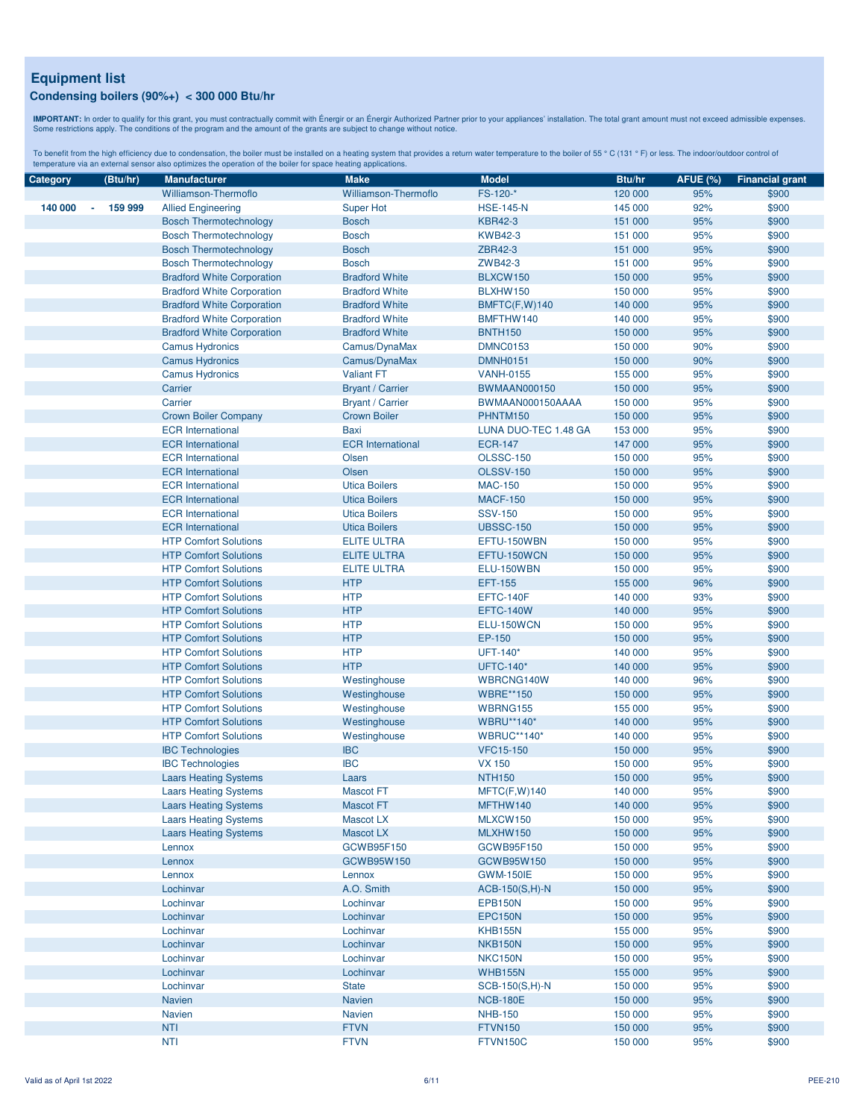**IMPORTANT:** In order to qualify for this grant, you must contractually commit with Énergir o an Énergir Authorized Partner prior to your appliances' installation. The total grant amount must not exceed admissible expenses

| Category | (Btu/hr)                            | <b>Manufacturer</b>                                          | <b>Make</b>                      | <b>Model</b>                   | Btu/hr             | <b>AFUE (%)</b> | <b>Financial grant</b> |
|----------|-------------------------------------|--------------------------------------------------------------|----------------------------------|--------------------------------|--------------------|-----------------|------------------------|
|          |                                     | Williamson-Thermoflo                                         | Williamson-Thermoflo             | FS-120-*                       | 120 000            | 95%             | \$900                  |
| 140 000  | 159 999<br>$\overline{\phantom{a}}$ | <b>Allied Engineering</b>                                    | <b>Super Hot</b>                 | <b>HSE-145-N</b>               | 145 000            | 92%             | \$900                  |
|          |                                     | <b>Bosch Thermotechnology</b>                                | <b>Bosch</b>                     | <b>KBR42-3</b>                 | 151 000            | 95%             | \$900                  |
|          |                                     | <b>Bosch Thermotechnology</b>                                | <b>Bosch</b>                     | <b>KWB42-3</b>                 | 151 000            | 95%             | \$900                  |
|          |                                     | <b>Bosch Thermotechnology</b>                                | <b>Bosch</b>                     | ZBR42-3                        | 151 000            | 95%             | \$900                  |
|          |                                     | <b>Bosch Thermotechnology</b>                                | <b>Bosch</b>                     | ZWB42-3                        | 151 000            | 95%             | \$900                  |
|          |                                     | <b>Bradford White Corporation</b>                            | <b>Bradford White</b>            | BLXCW150                       | 150 000            | 95%             | \$900                  |
|          |                                     | <b>Bradford White Corporation</b>                            | <b>Bradford White</b>            | BLXHW150                       | 150 000            | 95%             | \$900                  |
|          |                                     | <b>Bradford White Corporation</b>                            | <b>Bradford White</b>            | BMFTC(F,W)140                  | 140 000            | 95%             | \$900                  |
|          |                                     | <b>Bradford White Corporation</b>                            | <b>Bradford White</b>            | BMFTHW140                      | 140 000            | 95%             | \$900                  |
|          |                                     | <b>Bradford White Corporation</b>                            | <b>Bradford White</b>            | <b>BNTH150</b>                 | 150 000            | 95%             | \$900                  |
|          |                                     | <b>Camus Hydronics</b>                                       | Camus/DynaMax                    | <b>DMNC0153</b>                | 150 000            | 90%             | \$900                  |
|          |                                     | <b>Camus Hydronics</b>                                       | Camus/DynaMax                    | <b>DMNH0151</b>                | 150 000            | 90%             | \$900                  |
|          |                                     | <b>Camus Hydronics</b>                                       | <b>Valiant FT</b>                | <b>VANH-0155</b>               | 155 000            | 95%             | \$900                  |
|          |                                     | Carrier                                                      | <b>Bryant / Carrier</b>          | <b>BWMAAN000150</b>            | 150 000            | 95%             | \$900                  |
|          |                                     | Carrier                                                      | <b>Bryant / Carrier</b>          | BWMAAN000150AAAA               | 150 000            | 95%             | \$900                  |
|          |                                     | <b>Crown Boiler Company</b>                                  | <b>Crown Boiler</b>              | PHNTM150                       | 150 000            | 95%             | \$900                  |
|          |                                     | <b>ECR</b> International                                     | Baxi                             | LUNA DUO-TEC 1.48 GA           | 153 000            | 95%             | \$900                  |
|          |                                     | <b>ECR</b> International                                     | <b>ECR</b> International         | <b>ECR-147</b>                 | 147 000            | 95%             | \$900                  |
|          |                                     | <b>ECR</b> International                                     | Olsen                            | <b>OLSSC-150</b>               | 150 000            | 95%             | \$900                  |
|          |                                     | <b>ECR</b> International                                     | Olsen                            | <b>OLSSV-150</b>               | 150 000            | 95%             | \$900                  |
|          |                                     | <b>ECR</b> International                                     | <b>Utica Boilers</b>             | <b>MAC-150</b>                 | 150 000            | 95%             | \$900                  |
|          |                                     | <b>ECR</b> International                                     | <b>Utica Boilers</b>             | <b>MACF-150</b>                | 150 000            | 95%             | \$900                  |
|          |                                     | <b>ECR</b> International                                     | <b>Utica Boilers</b>             | <b>SSV-150</b>                 | 150 000            | 95%             | \$900                  |
|          |                                     | <b>ECR</b> International                                     | <b>Utica Boilers</b>             | <b>UBSSC-150</b>               | 150 000            | 95%             | \$900                  |
|          |                                     | <b>HTP Comfort Solutions</b>                                 | <b>ELITE ULTRA</b>               | EFTU-150WBN                    | 150 000            | 95%             | \$900                  |
|          |                                     | <b>HTP Comfort Solutions</b>                                 | <b>ELITE ULTRA</b>               | EFTU-150WCN                    | 150 000            | 95%             |                        |
|          |                                     |                                                              |                                  |                                |                    | 95%             | \$900<br>\$900         |
|          |                                     | <b>HTP Comfort Solutions</b><br><b>HTP Comfort Solutions</b> | <b>ELITE ULTRA</b><br><b>HTP</b> | ELU-150WBN<br><b>EFT-155</b>   | 150 000<br>155 000 | 96%             | \$900                  |
|          |                                     | <b>HTP Comfort Solutions</b>                                 | <b>HTP</b>                       | EFTC-140F                      |                    | 93%             | \$900                  |
|          |                                     | <b>HTP Comfort Solutions</b>                                 | <b>HTP</b>                       | <b>EFTC-140W</b>               | 140 000<br>140 000 |                 |                        |
|          |                                     | <b>HTP Comfort Solutions</b>                                 | <b>HTP</b>                       | ELU-150WCN                     |                    | 95%<br>95%      | \$900                  |
|          |                                     |                                                              | <b>HTP</b>                       |                                | 150 000            |                 | \$900                  |
|          |                                     | <b>HTP Comfort Solutions</b>                                 | <b>HTP</b>                       | EP-150<br>UFT-140*             | 150 000            | 95%             | \$900                  |
|          |                                     | <b>HTP Comfort Solutions</b>                                 |                                  |                                | 140 000            | 95%             | \$900                  |
|          |                                     | <b>HTP Comfort Solutions</b>                                 | <b>HTP</b>                       | <b>UFTC-140*</b><br>WBRCNG140W | 140 000            | 95%<br>96%      | \$900                  |
|          |                                     | <b>HTP Comfort Solutions</b>                                 | Westinghouse                     |                                | 140 000            |                 | \$900                  |
|          |                                     | <b>HTP Comfort Solutions</b><br><b>HTP Comfort Solutions</b> | Westinghouse                     | <b>WBRE**150</b><br>WBRNG155   | 150 000            | 95%             | \$900                  |
|          |                                     |                                                              | Westinghouse                     |                                | 155 000            | 95%             | \$900                  |
|          |                                     | <b>HTP Comfort Solutions</b>                                 | Westinghouse                     | <b>WBRU**140*</b>              | 140 000            | 95%             | \$900                  |
|          |                                     | <b>HTP Comfort Solutions</b>                                 | Westinghouse                     | <b>WBRUC**140*</b>             | 140 000            | 95%             | \$900                  |
|          |                                     | <b>IBC Technologies</b>                                      | <b>IBC</b>                       | <b>VFC15-150</b>               | 150 000            | 95%             | \$900                  |
|          |                                     | <b>IBC Technologies</b>                                      | <b>IBC</b>                       | <b>VX 150</b>                  | 150 000            | 95%             | \$900                  |
|          |                                     | <b>Laars Heating Systems</b>                                 | Laars                            | <b>NTH150</b>                  | 150 000            | 95%             | \$900                  |
|          |                                     | <b>Laars Heating Systems</b>                                 | <b>Mascot FT</b>                 | MFTC(F,W)140                   | 140 000            | 95%             | \$900                  |
|          |                                     | <b>Laars Heating Systems</b>                                 | <b>Mascot FT</b>                 | MFTHW140                       | 140 000            | 95%             | \$900                  |
|          |                                     | <b>Laars Heating Systems</b>                                 | Mascot LX                        | MLXCW150                       | 150 000            | 95%             | \$900                  |
|          |                                     | <b>Laars Heating Systems</b>                                 | Mascot LX                        | MLXHW150                       | 150 000            | 95%             | \$900                  |
|          |                                     | Lennox                                                       | GCWB95F150                       | GCWB95F150                     | 150 000            | 95%             | \$900                  |
|          |                                     | Lennox                                                       | GCWB95W150                       | GCWB95W150                     | 150 000            | 95%             | \$900                  |
|          |                                     | Lennox                                                       | Lennox                           | <b>GWM-150IE</b>               | 150 000            | 95%             | \$900                  |
|          |                                     | Lochinvar                                                    | A.O. Smith                       | ACB-150(S,H)-N                 | 150 000            | 95%             | \$900                  |
|          |                                     | Lochinvar                                                    | Lochinvar                        | <b>EPB150N</b>                 | 150 000            | 95%             | \$900                  |
|          |                                     | Lochinvar                                                    | Lochinvar                        | <b>EPC150N</b>                 | 150 000            | 95%             | \$900                  |
|          |                                     | Lochinvar                                                    | Lochinvar                        | <b>KHB155N</b>                 | 155 000            | 95%             | \$900                  |
|          |                                     | Lochinvar                                                    | Lochinvar                        | NKB150N                        | 150 000            | 95%             | \$900                  |
|          |                                     | Lochinvar                                                    | Lochinvar                        | NKC150N                        | 150 000            | 95%             | \$900                  |
|          |                                     | Lochinvar                                                    | Lochinvar                        | <b>WHB155N</b>                 | 155 000            | 95%             | \$900                  |
|          |                                     | Lochinvar                                                    | <b>State</b>                     | SCB-150(S,H)-N                 | 150 000            | 95%             | \$900                  |
|          |                                     | <b>Navien</b>                                                | Navien                           | <b>NCB-180E</b>                | 150 000            | 95%             | \$900                  |
|          |                                     | Navien                                                       | Navien                           | <b>NHB-150</b>                 | 150 000            | 95%             | \$900                  |
|          |                                     | <b>NTI</b>                                                   | <b>FTVN</b>                      | <b>FTVN150</b>                 | 150 000            | 95%             | \$900                  |
|          |                                     | <b>NTI</b>                                                   | <b>FTVN</b>                      | FTVN150C                       | 150 000            | 95%             | \$900                  |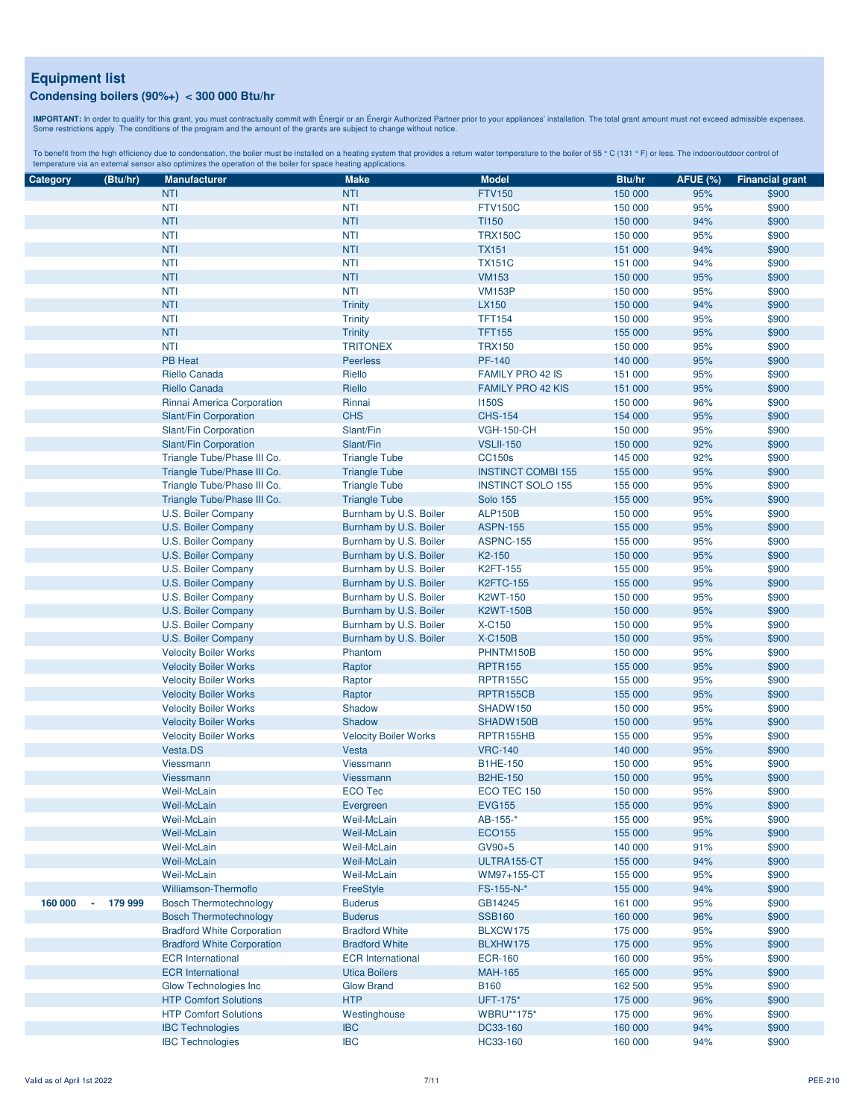**IMPORTANT:** In order to qualify for this grant, you must contractually commit with Énergir o an Énergir Authorized Partner prior to your appliances' installation. The total grant amount must not exceed admissible expenses

| Category | (Btu/hr)      | <b>Manufacturer</b>               | <b>Make</b>                  | <b>Model</b>              | Btu/hr  | <b>AFUE (%)</b> | <b>Financial grant</b> |
|----------|---------------|-----------------------------------|------------------------------|---------------------------|---------|-----------------|------------------------|
|          |               |                                   |                              | <b>FTV150</b>             |         |                 |                        |
|          |               | <b>NTI</b>                        | <b>NTI</b>                   |                           | 150 000 | 95%             | \$900                  |
|          |               | <b>NTI</b>                        | <b>NTI</b>                   | <b>FTV150C</b>            | 150 000 | 95%             | \$900                  |
|          |               | <b>NTI</b>                        | <b>NTI</b>                   | <b>TI150</b>              | 150 000 | 94%             | \$900                  |
|          |               | <b>NTI</b>                        | <b>NTI</b>                   | <b>TRX150C</b>            | 150 000 | 95%             | \$900                  |
|          |               | <b>NTI</b>                        | <b>NTI</b>                   | <b>TX151</b>              | 151 000 | 94%             | \$900                  |
|          |               | <b>NTI</b>                        | <b>NTI</b>                   | <b>TX151C</b>             | 151 000 | 94%             | \$900                  |
|          |               | <b>NTI</b>                        | <b>NTI</b>                   | <b>VM153</b>              | 150 000 | 95%             | \$900                  |
|          |               | <b>NTI</b>                        | <b>NTI</b>                   | <b>VM153P</b>             | 150 000 | 95%             | \$900                  |
|          |               | <b>NTI</b>                        | <b>Trinity</b>               | LX150                     | 150 000 | 94%             | \$900                  |
|          |               | <b>NTI</b>                        | <b>Trinity</b>               | <b>TFT154</b>             | 150 000 | 95%             | \$900                  |
|          |               | <b>NTI</b>                        | <b>Trinity</b>               | <b>TFT155</b>             | 155 000 | 95%             | \$900                  |
|          |               | <b>NTI</b>                        | <b>TRITONEX</b>              | <b>TRX150</b>             | 150 000 | 95%             | \$900                  |
|          |               | <b>PB Heat</b>                    | <b>Peerless</b>              | PF-140                    | 140 000 | 95%             | \$900                  |
|          |               | Riello Canada                     | Riello                       | <b>FAMILY PRO 42 IS</b>   | 151 000 | 95%             | \$900                  |
|          |               | Riello Canada                     | Riello                       | <b>FAMILY PRO 42 KIS</b>  | 151 000 | 95%             | \$900                  |
|          |               |                                   |                              | <b>I150S</b>              |         | 96%             |                        |
|          |               | Rinnai America Corporation        | Rinnai                       |                           | 150 000 |                 | \$900                  |
|          |               | Slant/Fin Corporation             | <b>CHS</b>                   | <b>CHS-154</b>            | 154 000 | 95%             | \$900                  |
|          |               | Slant/Fin Corporation             | Slant/Fin                    | <b>VGH-150-CH</b>         | 150 000 | 95%             | \$900                  |
|          |               | Slant/Fin Corporation             | Slant/Fin                    | <b>VSLII-150</b>          | 150 000 | 92%             | \$900                  |
|          |               | Triangle Tube/Phase III Co.       | <b>Triangle Tube</b>         | <b>CC150s</b>             | 145 000 | 92%             | \$900                  |
|          |               | Triangle Tube/Phase III Co.       | <b>Triangle Tube</b>         | <b>INSTINCT COMBI 155</b> | 155 000 | 95%             | \$900                  |
|          |               | Triangle Tube/Phase III Co.       | <b>Triangle Tube</b>         | <b>INSTINCT SOLO 155</b>  | 155 000 | 95%             | \$900                  |
|          |               | Triangle Tube/Phase III Co.       | <b>Triangle Tube</b>         | <b>Solo 155</b>           | 155 000 | 95%             | \$900                  |
|          |               | U.S. Boiler Company               | Burnham by U.S. Boiler       | <b>ALP150B</b>            | 150 000 | 95%             | \$900                  |
|          |               | U.S. Boiler Company               | Burnham by U.S. Boiler       | <b>ASPN-155</b>           | 155 000 | 95%             | \$900                  |
|          |               | U.S. Boiler Company               | Burnham by U.S. Boiler       | <b>ASPNC-155</b>          | 155 000 | 95%             | \$900                  |
|          |               | U.S. Boiler Company               | Burnham by U.S. Boiler       | K2-150                    | 150 000 | 95%             | \$900                  |
|          |               | U.S. Boiler Company               | Burnham by U.S. Boiler       | K2FT-155                  | 155 000 | 95%             | \$900                  |
|          |               | U.S. Boiler Company               | Burnham by U.S. Boiler       | <b>K2FTC-155</b>          | 155 000 | 95%             | \$900                  |
|          |               | U.S. Boiler Company               | Burnham by U.S. Boiler       | K2WT-150                  | 150 000 | 95%             | \$900                  |
|          |               | U.S. Boiler Company               | Burnham by U.S. Boiler       | <b>K2WT-150B</b>          | 150 000 | 95%             | \$900                  |
|          |               | U.S. Boiler Company               | Burnham by U.S. Boiler       | X-C150                    | 150 000 | 95%             | \$900                  |
|          |               |                                   |                              | <b>X-C150B</b>            | 150 000 | 95%             | \$900                  |
|          |               | U.S. Boiler Company               | Burnham by U.S. Boiler       |                           |         |                 |                        |
|          |               | <b>Velocity Boiler Works</b>      | Phantom                      | PHNTM150B                 | 150 000 | 95%             | \$900                  |
|          |               | <b>Velocity Boiler Works</b>      | Raptor                       | <b>RPTR155</b>            | 155 000 | 95%             | \$900                  |
|          |               | <b>Velocity Boiler Works</b>      | Raptor                       | <b>RPTR155C</b>           | 155 000 | 95%             | \$900                  |
|          |               | <b>Velocity Boiler Works</b>      | Raptor                       | RPTR155CB                 | 155 000 | 95%             | \$900                  |
|          |               | <b>Velocity Boiler Works</b>      | Shadow                       | SHADW150                  | 150 000 | 95%             | \$900                  |
|          |               | <b>Velocity Boiler Works</b>      | Shadow                       | SHADW150B                 | 150 000 | 95%             | \$900                  |
|          |               | <b>Velocity Boiler Works</b>      | <b>Velocity Boiler Works</b> | RPTR155HB                 | 155 000 | 95%             | \$900                  |
|          |               | Vesta.DS                          | Vesta                        | <b>VRC-140</b>            | 140 000 | 95%             | \$900                  |
|          |               | Viessmann                         | <b>Viessmann</b>             | <b>B1HE-150</b>           | 150 000 | 95%             | \$900                  |
|          |               | Viessmann                         | <b>Viessmann</b>             | <b>B2HE-150</b>           | 150 000 | 95%             | \$900                  |
|          |               | Weil-McLain                       | <b>ECO Tec</b>               | ECO TEC 150               | 150 000 | 95%             | \$900                  |
|          |               | Weil-McLain                       | Evergreen                    | <b>EVG155</b>             | 155 000 | 95%             | \$900                  |
|          |               | Weil-McLain                       | Weil-McLain                  | AB-155-*                  | 155 000 | 95%             | \$900                  |
|          |               | Weil-McLain                       | <b>Weil-McLain</b>           | <b>ECO155</b>             | 155 000 | 95%             | \$900                  |
|          |               | Weil-McLain                       | <b>Weil-McLain</b>           | GV90+5                    | 140 000 | 91%             | \$900                  |
|          |               | Weil-McLain                       | <b>Weil-McLain</b>           | ULTRA155-CT               | 155 000 | 94%             | \$900                  |
|          |               | Weil-McLain                       | Weil-McLain                  | WM97+155-CT               | 155 000 | 95%             | \$900                  |
|          |               | Williamson-Thermoflo              | <b>FreeStyle</b>             | FS-155-N-*                | 155 000 | 94%             | \$900                  |
| 160 000  | 179 999<br>×, | <b>Bosch Thermotechnology</b>     | <b>Buderus</b>               | GB14245                   | 161 000 | 95%             | \$900                  |
|          |               | <b>Bosch Thermotechnology</b>     | <b>Buderus</b>               | <b>SSB160</b>             | 160 000 | 96%             | \$900                  |
|          |               | <b>Bradford White Corporation</b> | <b>Bradford White</b>        | BLXCW175                  | 175 000 | 95%             | \$900                  |
|          |               |                                   |                              |                           |         |                 |                        |
|          |               | <b>Bradford White Corporation</b> | <b>Bradford White</b>        | BLXHW175                  | 175 000 | 95%             | \$900                  |
|          |               | <b>ECR</b> International          | <b>ECR</b> International     | <b>ECR-160</b>            | 160 000 | 95%             | \$900                  |
|          |               | <b>ECR</b> International          | <b>Utica Boilers</b>         | <b>MAH-165</b>            | 165 000 | 95%             | \$900                  |
|          |               | Glow Technologies Inc             | <b>Glow Brand</b>            | <b>B160</b>               | 162 500 | 95%             | \$900                  |
|          |               | <b>HTP Comfort Solutions</b>      | <b>HTP</b>                   | UFT-175*                  | 175 000 | 96%             | \$900                  |
|          |               | <b>HTP Comfort Solutions</b>      | Westinghouse                 | <b>WBRU**175*</b>         | 175 000 | 96%             | \$900                  |
|          |               | <b>IBC Technologies</b>           | <b>IBC</b>                   | DC33-160                  | 160 000 | 94%             | \$900                  |
|          |               | <b>IBC Technologies</b>           | <b>IBC</b>                   | HC33-160                  | 160 000 | 94%             | \$900                  |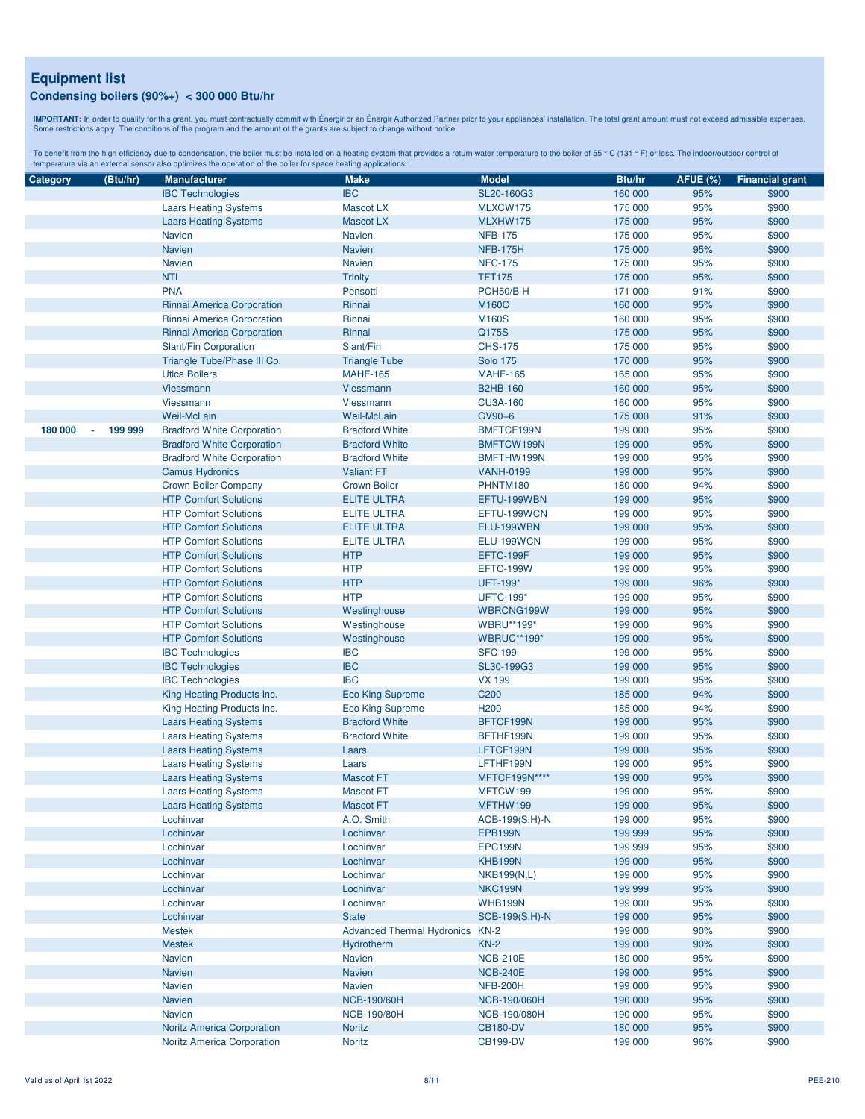**IMPORTANT:** In order to qualify for this grant, you must contractually commit with Énergir o an Énergir Authorized Partner prior to your appliances' installation. The total grant amount must not exceed admissible expenses

| Category | (Btu/hr)      | <b>Manufacturer</b>               | <b>Make</b>                            | <b>Model</b>       | Btu/hr  | <b>AFUE (%)</b> | <b>Financial grant</b> |
|----------|---------------|-----------------------------------|----------------------------------------|--------------------|---------|-----------------|------------------------|
|          |               | <b>IBC Technologies</b>           | <b>IBC</b>                             | SL20-160G3         | 160 000 | 95%             | \$900                  |
|          |               | <b>Laars Heating Systems</b>      | <b>Mascot LX</b>                       | MLXCW175           | 175 000 | 95%             | \$900                  |
|          |               | <b>Laars Heating Systems</b>      | <b>Mascot LX</b>                       | MLXHW175           | 175 000 | 95%             | \$900                  |
|          |               | <b>Navien</b>                     | Navien                                 | <b>NFB-175</b>     | 175 000 | 95%             | \$900                  |
|          |               | <b>Navien</b>                     | <b>Navien</b>                          | <b>NFB-175H</b>    | 175 000 | 95%             | \$900                  |
|          |               | <b>Navien</b>                     | <b>Navien</b>                          | <b>NFC-175</b>     | 175 000 | 95%             | \$900                  |
|          |               | <b>NTI</b>                        |                                        | <b>TFT175</b>      |         |                 |                        |
|          |               |                                   | <b>Trinity</b>                         |                    | 175 000 | 95%             | \$900                  |
|          |               | <b>PNA</b>                        | Pensotti                               | PCH50/B-H          | 171 000 | 91%             | \$900                  |
|          |               | Rinnai America Corporation        | Rinnai                                 | <b>M160C</b>       | 160 000 | 95%             | \$900                  |
|          |               | Rinnai America Corporation        | Rinnai                                 | M160S              | 160 000 | 95%             | \$900                  |
|          |               | Rinnai America Corporation        | Rinnai                                 | Q175S              | 175 000 | 95%             | \$900                  |
|          |               | Slant/Fin Corporation             | Slant/Fin                              | <b>CHS-175</b>     | 175 000 | 95%             | \$900                  |
|          |               | Triangle Tube/Phase III Co.       | <b>Triangle Tube</b>                   | <b>Solo 175</b>    | 170 000 | 95%             | \$900                  |
|          |               | <b>Utica Boilers</b>              | <b>MAHF-165</b>                        | <b>MAHF-165</b>    | 165 000 | 95%             | \$900                  |
|          |               | Viessmann                         | Viessmann                              | <b>B2HB-160</b>    | 160 000 | 95%             | \$900                  |
|          |               | Viessmann                         | Viessmann                              | <b>CU3A-160</b>    | 160 000 | 95%             | \$900                  |
|          |               | Weil-McLain                       | <b>Weil-McLain</b>                     | GV90+6             | 175 000 | 91%             | \$900                  |
| 180 000  | 199 999<br>ä, | <b>Bradford White Corporation</b> | <b>Bradford White</b>                  | BMFTCF199N         | 199 000 | 95%             | \$900                  |
|          |               | <b>Bradford White Corporation</b> | <b>Bradford White</b>                  | BMFTCW199N         | 199 000 | 95%             | \$900                  |
|          |               | <b>Bradford White Corporation</b> | <b>Bradford White</b>                  | BMFTHW199N         | 199 000 | 95%             | \$900                  |
|          |               |                                   | <b>Valiant FT</b>                      | <b>VANH-0199</b>   | 199 000 | 95%             | \$900                  |
|          |               | <b>Camus Hydronics</b>            |                                        |                    |         |                 |                        |
|          |               | <b>Crown Boiler Company</b>       | <b>Crown Boiler</b>                    | PHNTM180           | 180 000 | 94%             | \$900                  |
|          |               | <b>HTP Comfort Solutions</b>      | <b>ELITE ULTRA</b>                     | EFTU-199WBN        | 199 000 | 95%             | \$900                  |
|          |               | <b>HTP Comfort Solutions</b>      | <b>ELITE ULTRA</b>                     | EFTU-199WCN        | 199 000 | 95%             | \$900                  |
|          |               | <b>HTP Comfort Solutions</b>      | <b>ELITE ULTRA</b>                     | ELU-199WBN         | 199 000 | 95%             | \$900                  |
|          |               | <b>HTP Comfort Solutions</b>      | <b>ELITE ULTRA</b>                     | ELU-199WCN         | 199 000 | 95%             | \$900                  |
|          |               | <b>HTP Comfort Solutions</b>      | <b>HTP</b>                             | EFTC-199F          | 199 000 | 95%             | \$900                  |
|          |               | <b>HTP Comfort Solutions</b>      | <b>HTP</b>                             | <b>EFTC-199W</b>   | 199 000 | 95%             | \$900                  |
|          |               | <b>HTP Comfort Solutions</b>      | <b>HTP</b>                             | UFT-199*           | 199 000 | 96%             | \$900                  |
|          |               | <b>HTP Comfort Solutions</b>      | <b>HTP</b>                             | <b>UFTC-199*</b>   | 199 000 | 95%             | \$900                  |
|          |               | <b>HTP Comfort Solutions</b>      | Westinghouse                           | WBRCNG199W         | 199 000 | 95%             | \$900                  |
|          |               | <b>HTP Comfort Solutions</b>      | Westinghouse                           | WBRU**199*         | 199 000 | 96%             | \$900                  |
|          |               | <b>HTP Comfort Solutions</b>      | Westinghouse                           | <b>WBRUC**199*</b> | 199 000 | 95%             | \$900                  |
|          |               | <b>IBC Technologies</b>           | <b>IBC</b>                             | <b>SFC 199</b>     | 199 000 | 95%             | \$900                  |
|          |               | <b>IBC Technologies</b>           | <b>IBC</b>                             | SL30-199G3         | 199 000 | 95%             | \$900                  |
|          |               |                                   | <b>IBC</b>                             |                    |         |                 |                        |
|          |               | <b>IBC Technologies</b>           |                                        | <b>VX 199</b>      | 199 000 | 95%             | \$900                  |
|          |               | King Heating Products Inc.        | <b>Eco King Supreme</b>                | C <sub>200</sub>   | 185 000 | 94%             | \$900                  |
|          |               | King Heating Products Inc.        | <b>Eco King Supreme</b>                | H <sub>200</sub>   | 185 000 | 94%             | \$900                  |
|          |               | <b>Laars Heating Systems</b>      | <b>Bradford White</b>                  | BFTCF199N          | 199 000 | 95%             | \$900                  |
|          |               | <b>Laars Heating Systems</b>      | <b>Bradford White</b>                  | BFTHF199N          | 199 000 | 95%             | \$900                  |
|          |               | <b>Laars Heating Systems</b>      | Laars                                  | LFTCF199N          | 199 000 | 95%             | \$900                  |
|          |               | <b>Laars Heating Systems</b>      | Laars                                  | LFTHF199N          | 199 000 | 95%             | \$900                  |
|          |               | <b>Laars Heating Systems</b>      | <b>Mascot FT</b>                       | MFTCF199N****      | 199 000 | 95%             | \$900                  |
|          |               | <b>Laars Heating Systems</b>      | <b>Mascot FT</b>                       | MFTCW199           | 199 000 | 95%             | \$900                  |
|          |               | <b>Laars Heating Systems</b>      | <b>Mascot FT</b>                       | MFTHW199           | 199 000 | 95%             | \$900                  |
|          |               | Lochinvar                         | A.O. Smith                             | $ACB-199(S,H)-N$   | 199 000 | 95%             | \$900                  |
|          |               | Lochinvar                         | Lochinvar                              | <b>EPB199N</b>     | 199 999 | 95%             | \$900                  |
|          |               | Lochinvar                         | Lochinvar                              | EPC199N            | 199 999 | 95%             | \$900                  |
|          |               | Lochinvar                         | Lochinvar                              | KHB199N            | 199 000 | 95%             | \$900                  |
|          |               | Lochinvar                         | Lochinvar                              | <b>NKB199(N,L)</b> | 199 000 | 95%             | \$900                  |
|          |               | Lochinvar                         | Lochinvar                              | NKC199N            |         | 95%             | \$900                  |
|          |               |                                   |                                        |                    | 199 999 |                 |                        |
|          |               | Lochinvar                         | Lochinvar                              | <b>WHB199N</b>     | 199 000 | 95%             | \$900                  |
|          |               | Lochinvar                         | <b>State</b>                           | SCB-199(S,H)-N     | 199 000 | 95%             | \$900                  |
|          |               | <b>Mestek</b>                     | <b>Advanced Thermal Hydronics KN-2</b> |                    | 199 000 | 90%             | \$900                  |
|          |               | <b>Mestek</b>                     | Hydrotherm                             | $KN-2$             | 199 000 | 90%             | \$900                  |
|          |               | <b>Navien</b>                     | Navien                                 | <b>NCB-210E</b>    | 180 000 | 95%             | \$900                  |
|          |               | <b>Navien</b>                     | <b>Navien</b>                          | <b>NCB-240E</b>    | 199 000 | 95%             | \$900                  |
|          |               | <b>Navien</b>                     | Navien                                 | <b>NFB-200H</b>    | 199 000 | 95%             | \$900                  |
|          |               | <b>Navien</b>                     | <b>NCB-190/60H</b>                     | NCB-190/060H       | 190 000 | 95%             | \$900                  |
|          |               | <b>Navien</b>                     | <b>NCB-190/80H</b>                     | NCB-190/080H       | 190 000 | 95%             | \$900                  |
|          |               | <b>Noritz America Corporation</b> | <b>Noritz</b>                          | <b>CB180-DV</b>    | 180 000 | 95%             | \$900                  |
|          |               | <b>Noritz America Corporation</b> | <b>Noritz</b>                          | <b>CB199-DV</b>    | 199 000 | 96%             | \$900                  |
|          |               |                                   |                                        |                    |         |                 |                        |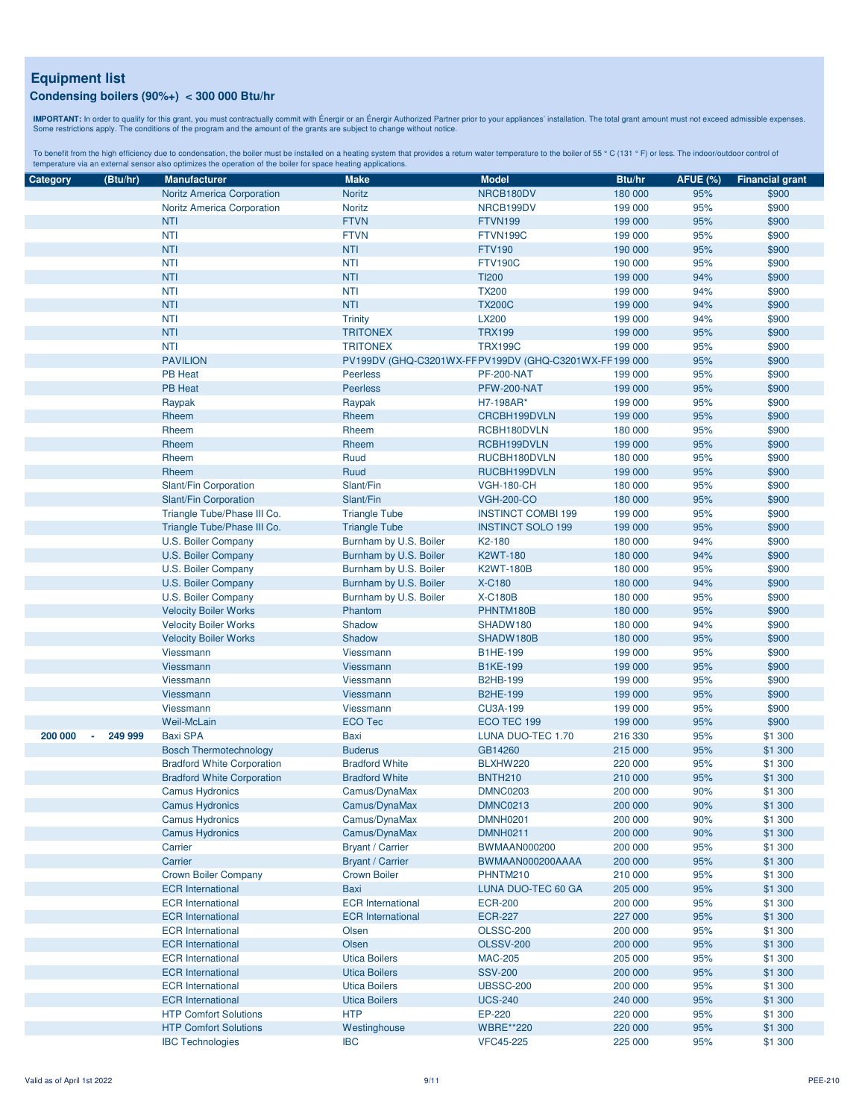**IMPORTANT:** In order to qualify for this grant, you must contractually commit with Énergir o an Énergir Authorized Partner prior to your appliances' installation. The total grant amount must not exceed admissible expenses

| Category | (Btu/hr)          | <b>Manufacturer</b>               | <b>Make</b>              | <b>Model</b>                                            | Btu/hr  | <b>AFUE (%)</b> | <b>Financial grant</b> |
|----------|-------------------|-----------------------------------|--------------------------|---------------------------------------------------------|---------|-----------------|------------------------|
|          |                   | <b>Noritz America Corporation</b> | <b>Noritz</b>            | NRCB180DV                                               | 180 000 | 95%             | \$900                  |
|          |                   | <b>Noritz America Corporation</b> | <b>Noritz</b>            | NRCB199DV                                               | 199 000 | 95%             | \$900                  |
|          |                   | <b>NTI</b>                        | <b>FTVN</b>              | <b>FTVN199</b>                                          | 199 000 | 95%             | \$900                  |
|          |                   | <b>NTI</b>                        | <b>FTVN</b>              | FTVN199C                                                | 199 000 | 95%             | \$900                  |
|          |                   | <b>NTI</b>                        | <b>NTI</b>               | <b>FTV190</b>                                           | 190 000 | 95%             | \$900                  |
|          |                   | <b>NTI</b>                        | <b>NTI</b>               | <b>FTV190C</b>                                          | 190 000 | 95%             | \$900                  |
|          |                   | <b>NTI</b>                        | <b>NTI</b>               | <b>TI200</b>                                            | 199 000 | 94%             | \$900                  |
|          |                   | <b>NTI</b>                        | <b>NTI</b>               | <b>TX200</b>                                            | 199 000 | 94%             | \$900                  |
|          |                   | <b>NTI</b>                        | <b>NTI</b>               | <b>TX200C</b>                                           | 199 000 | 94%             | \$900                  |
|          |                   | <b>NTI</b>                        | <b>Trinity</b>           | <b>LX200</b>                                            | 199 000 | 94%             | \$900                  |
|          |                   | <b>NTI</b>                        | <b>TRITONEX</b>          | <b>TRX199</b>                                           | 199 000 | 95%             | \$900                  |
|          |                   | <b>NTI</b>                        | <b>TRITONEX</b>          | <b>TRX199C</b>                                          | 199 000 | 95%             | \$900                  |
|          |                   | <b>PAVILION</b>                   |                          | PV199DV (GHQ-C3201WX-FF PV199DV (GHQ-C3201WX-FF 199 000 |         | 95%             | \$900                  |
|          |                   | <b>PB Heat</b>                    | <b>Peerless</b>          | <b>PF-200-NAT</b>                                       | 199 000 | 95%             | \$900                  |
|          |                   | <b>PB Heat</b>                    | <b>Peerless</b>          | PFW-200-NAT                                             | 199 000 | 95%             | \$900                  |
|          |                   | Raypak                            | Raypak                   | H7-198AR*                                               | 199 000 | 95%             | \$900                  |
|          |                   | Rheem                             | Rheem                    | CRCBH199DVLN                                            | 199 000 | 95%             | \$900                  |
|          |                   | Rheem                             | Rheem                    | RCBH180DVLN                                             | 180 000 | 95%             | \$900                  |
|          |                   | Rheem                             | Rheem                    | RCBH199DVLN                                             | 199 000 | 95%             | \$900                  |
|          |                   |                                   | Ruud                     | RUCBH180DVLN                                            |         | 95%             | \$900                  |
|          |                   | Rheem                             |                          |                                                         | 180 000 |                 |                        |
|          |                   | Rheem                             | Ruud                     | RUCBH199DVLN                                            | 199 000 | 95%             | \$900                  |
|          |                   | Slant/Fin Corporation             | Slant/Fin                | <b>VGH-180-CH</b>                                       | 180 000 | 95%             | \$900                  |
|          |                   | Slant/Fin Corporation             | Slant/Fin                | <b>VGH-200-CO</b>                                       | 180 000 | 95%             | \$900                  |
|          |                   | Triangle Tube/Phase III Co.       | <b>Triangle Tube</b>     | <b>INSTINCT COMBI 199</b>                               | 199 000 | 95%             | \$900                  |
|          |                   | Triangle Tube/Phase III Co.       | <b>Triangle Tube</b>     | <b>INSTINCT SOLO 199</b>                                | 199 000 | 95%             | \$900                  |
|          |                   | U.S. Boiler Company               | Burnham by U.S. Boiler   | K <sub>2</sub> -180                                     | 180 000 | 94%             | \$900                  |
|          |                   | U.S. Boiler Company               | Burnham by U.S. Boiler   | <b>K2WT-180</b>                                         | 180 000 | 94%             | \$900                  |
|          |                   | U.S. Boiler Company               | Burnham by U.S. Boiler   | <b>K2WT-180B</b>                                        | 180 000 | 95%             | \$900                  |
|          |                   | U.S. Boiler Company               | Burnham by U.S. Boiler   | <b>X-C180</b>                                           | 180 000 | 94%             | \$900                  |
|          |                   | U.S. Boiler Company               | Burnham by U.S. Boiler   | <b>X-C180B</b>                                          | 180 000 | 95%             | \$900                  |
|          |                   | <b>Velocity Boiler Works</b>      | Phantom                  | PHNTM180B                                               | 180 000 | 95%             | \$900                  |
|          |                   | <b>Velocity Boiler Works</b>      | Shadow                   | SHADW180                                                | 180 000 | 94%             | \$900                  |
|          |                   | <b>Velocity Boiler Works</b>      | Shadow                   | SHADW180B                                               | 180 000 | 95%             | \$900                  |
|          |                   | Viessmann                         | Viessmann                | <b>B1HE-199</b>                                         | 199 000 | 95%             | \$900                  |
|          |                   | Viessmann                         | Viessmann                | <b>B1KE-199</b>                                         | 199 000 | 95%             | \$900                  |
|          |                   | Viessmann                         | Viessmann                | <b>B2HB-199</b>                                         | 199 000 | 95%             | \$900                  |
|          |                   | <b>Viessmann</b>                  | Viessmann                | <b>B2HE-199</b>                                         | 199 000 | 95%             | \$900                  |
|          |                   | Viessmann                         | Viessmann                | <b>CU3A-199</b>                                         | 199 000 | 95%             | \$900                  |
|          |                   | <b>Weil-McLain</b>                | <b>ECO Tec</b>           | ECO TEC 199                                             | 199 000 | 95%             | \$900                  |
| 200 000  | 249 999<br>$\sim$ | <b>Baxi SPA</b>                   | <b>Baxi</b>              | LUNA DUO-TEC 1.70                                       | 216 330 | 95%             | \$1 300                |
|          |                   | <b>Bosch Thermotechnology</b>     | <b>Buderus</b>           | GB14260                                                 | 215 000 | 95%             | \$1 300                |
|          |                   | <b>Bradford White Corporation</b> | <b>Bradford White</b>    | BLXHW220                                                | 220 000 | 95%             | \$1 300                |
|          |                   | <b>Bradford White Corporation</b> | <b>Bradford White</b>    | <b>BNTH210</b>                                          | 210 000 | 95%             | \$1 300                |
|          |                   | <b>Camus Hydronics</b>            | Camus/DynaMax            | <b>DMNC0203</b>                                         | 200 000 | 90%             | \$1 300                |
|          |                   | <b>Camus Hydronics</b>            | Camus/DynaMax            | <b>DMNC0213</b>                                         | 200 000 | 90%             | \$1 300                |
|          |                   | <b>Camus Hydronics</b>            | Camus/DynaMax            | <b>DMNH0201</b>                                         | 200 000 | 90%             | \$1 300                |
|          |                   | <b>Camus Hydronics</b>            | Camus/DynaMax            | <b>DMNH0211</b>                                         | 200 000 | 90%             | \$1 300                |
|          |                   | Carrier                           | <b>Bryant / Carrier</b>  | <b>BWMAAN000200</b>                                     | 200 000 | 95%             | \$1 300                |
|          |                   | Carrier                           | <b>Bryant / Carrier</b>  | BWMAAN000200AAAA                                        | 200 000 | 95%             | \$1 300                |
|          |                   | <b>Crown Boiler Company</b>       | <b>Crown Boiler</b>      | PHNTM210                                                | 210 000 | 95%             | \$1 300                |
|          |                   | <b>ECR</b> International          | <b>Baxi</b>              | LUNA DUO-TEC 60 GA                                      | 205 000 | 95%             | \$1 300                |
|          |                   | <b>ECR</b> International          | <b>ECR</b> International | <b>ECR-200</b>                                          | 200 000 | 95%             | \$1 300                |
|          |                   | <b>ECR</b> International          | <b>ECR</b> International | <b>ECR-227</b>                                          | 227 000 | 95%             | \$1 300                |
|          |                   | <b>ECR</b> International          | Olsen                    | <b>OLSSC-200</b>                                        | 200 000 | 95%             | \$1 300                |
|          |                   | <b>ECR</b> International          | Olsen                    | <b>OLSSV-200</b>                                        | 200 000 | 95%             | \$1 300                |
|          |                   | <b>ECR</b> International          | <b>Utica Boilers</b>     | <b>MAC-205</b>                                          | 205 000 | 95%             | \$1 300                |
|          |                   | <b>ECR</b> International          | <b>Utica Boilers</b>     | <b>SSV-200</b>                                          | 200 000 | 95%             | \$1 300                |
|          |                   | <b>ECR</b> International          | <b>Utica Boilers</b>     | <b>UBSSC-200</b>                                        | 200 000 | 95%             | \$1 300                |
|          |                   | <b>ECR</b> International          | <b>Utica Boilers</b>     | <b>UCS-240</b>                                          | 240 000 | 95%             | \$1 300                |
|          |                   | <b>HTP Comfort Solutions</b>      | <b>HTP</b>               | EP-220                                                  | 220 000 | 95%             | \$1 300                |
|          |                   | <b>HTP Comfort Solutions</b>      | Westinghouse             | <b>WBRE**220</b>                                        | 220 000 | 95%             | \$1 300                |
|          |                   | <b>IBC Technologies</b>           | <b>IBC</b>               | <b>VFC45-225</b>                                        | 225 000 | 95%             | \$1 300                |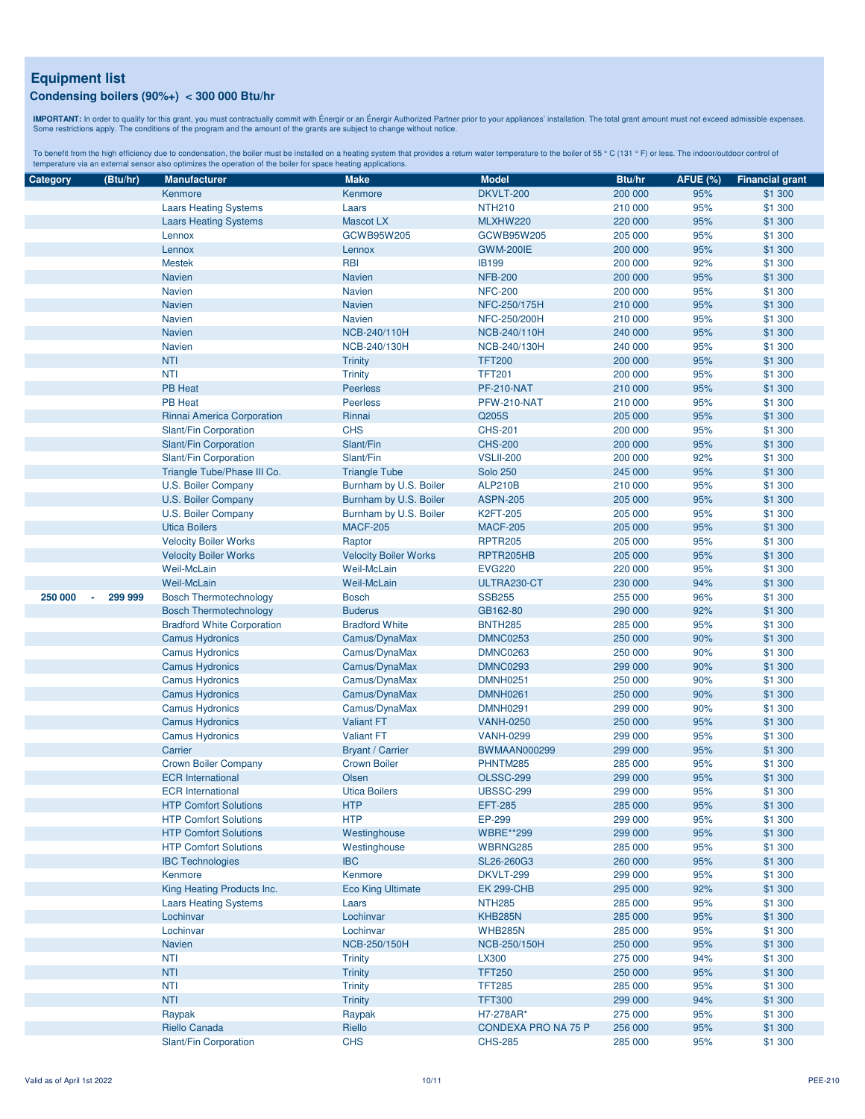**IMPORTANT:** In order to qualify for this grant, you must contractually commit with Énergir o an Énergir Authorized Partner prior to your appliances' installation. The total grant amount must not exceed admissible expenses

| Category | (Btu/hr) | <b>Manufacturer</b>               | <b>Make</b>                  | <b>Model</b>        | Btu/hr  | <b>AFUE (%)</b> | <b>Financial grant</b> |
|----------|----------|-----------------------------------|------------------------------|---------------------|---------|-----------------|------------------------|
|          |          | Kenmore                           | Kenmore                      | <b>DKVLT-200</b>    | 200 000 | 95%             | \$1 300                |
|          |          | <b>Laars Heating Systems</b>      | Laars                        | <b>NTH210</b>       | 210 000 | 95%             | \$1 300                |
|          |          | <b>Laars Heating Systems</b>      | <b>Mascot LX</b>             | MLXHW220            | 220 000 | 95%             | \$1 300                |
|          |          | Lennox                            | GCWB95W205                   | GCWB95W205          | 205 000 | 95%             | \$1 300                |
|          |          | Lennox                            | Lennox                       | <b>GWM-200IE</b>    | 200 000 | 95%             | \$1 300                |
|          |          | <b>Mestek</b>                     | <b>RBI</b>                   | <b>IB199</b>        | 200 000 | 92%             | \$1 300                |
|          |          | <b>Navien</b>                     | <b>Navien</b>                | <b>NFB-200</b>      | 200 000 | 95%             | \$1 300                |
|          |          | Navien                            | <b>Navien</b>                | <b>NFC-200</b>      | 200 000 | 95%             | \$1 300                |
|          |          | <b>Navien</b>                     | <b>Navien</b>                | NFC-250/175H        | 210 000 | 95%             | \$1 300                |
|          |          | Navien                            | <b>Navien</b>                | NFC-250/200H        | 210 000 | 95%             | \$1 300                |
|          |          | <b>Navien</b>                     | NCB-240/110H                 | NCB-240/110H        | 240 000 | 95%             | \$1 300                |
|          |          | <b>Navien</b>                     | NCB-240/130H                 | NCB-240/130H        | 240 000 | 95%             | \$1 300                |
|          |          | <b>NTI</b>                        | <b>Trinity</b>               | <b>TFT200</b>       | 200 000 | 95%             | \$1 300                |
|          |          | <b>NTI</b>                        | <b>Trinity</b>               | <b>TFT201</b>       | 200 000 | 95%             | \$1 300                |
|          |          | <b>PB Heat</b>                    | <b>Peerless</b>              | <b>PF-210-NAT</b>   | 210 000 | 95%             | \$1 300                |
|          |          | <b>PB Heat</b>                    | <b>Peerless</b>              | PFW-210-NAT         | 210 000 | 95%             | \$1 300                |
|          |          |                                   | Rinnai                       | Q205S               |         | 95%             | \$1 300                |
|          |          | Rinnai America Corporation        |                              |                     | 205 000 |                 |                        |
|          |          | Slant/Fin Corporation             | <b>CHS</b>                   | <b>CHS-201</b>      | 200 000 | 95%             | \$1 300                |
|          |          | Slant/Fin Corporation             | Slant/Fin                    | <b>CHS-200</b>      | 200 000 | 95%             | \$1 300                |
|          |          | Slant/Fin Corporation             | Slant/Fin                    | <b>VSLII-200</b>    | 200 000 | 92%             | \$1 300                |
|          |          | Triangle Tube/Phase III Co.       | <b>Triangle Tube</b>         | <b>Solo 250</b>     | 245 000 | 95%             | \$1 300                |
|          |          | <b>U.S. Boiler Company</b>        | Burnham by U.S. Boiler       | <b>ALP210B</b>      | 210 000 | 95%             | \$1 300                |
|          |          | U.S. Boiler Company               | Burnham by U.S. Boiler       | <b>ASPN-205</b>     | 205 000 | 95%             | \$1 300                |
|          |          | U.S. Boiler Company               | Burnham by U.S. Boiler       | <b>K2FT-205</b>     | 205 000 | 95%             | \$1 300                |
|          |          | <b>Utica Boilers</b>              | <b>MACF-205</b>              | <b>MACF-205</b>     | 205 000 | 95%             | \$1 300                |
|          |          | <b>Velocity Boiler Works</b>      | Raptor                       | <b>RPTR205</b>      | 205 000 | 95%             | \$1 300                |
|          |          | <b>Velocity Boiler Works</b>      | <b>Velocity Boiler Works</b> | RPTR205HB           | 205 000 | 95%             | \$1 300                |
|          |          | Weil-McLain                       | <b>Weil-McLain</b>           | <b>EVG220</b>       | 220 000 | 95%             | \$1 300                |
|          |          | Weil-McLain                       | <b>Weil-McLain</b>           | ULTRA230-CT         | 230 000 | 94%             | \$1 300                |
| 250 000  | 299 999  | <b>Bosch Thermotechnology</b>     | <b>Bosch</b>                 | <b>SSB255</b>       | 255 000 | 96%             | \$1 300                |
|          |          | <b>Bosch Thermotechnology</b>     | <b>Buderus</b>               | GB162-80            | 290 000 | 92%             | \$1 300                |
|          |          | <b>Bradford White Corporation</b> | <b>Bradford White</b>        | <b>BNTH285</b>      | 285 000 | 95%             | \$1 300                |
|          |          | <b>Camus Hydronics</b>            | Camus/DynaMax                | <b>DMNC0253</b>     | 250 000 | 90%             | \$1 300                |
|          |          | <b>Camus Hydronics</b>            | Camus/DynaMax                | <b>DMNC0263</b>     | 250 000 | 90%             | \$1 300                |
|          |          | <b>Camus Hydronics</b>            | Camus/DynaMax                | <b>DMNC0293</b>     | 299 000 | 90%             | \$1 300                |
|          |          | <b>Camus Hydronics</b>            | Camus/DynaMax                | <b>DMNH0251</b>     | 250 000 | 90%             | \$1 300                |
|          |          | <b>Camus Hydronics</b>            | Camus/DynaMax                | <b>DMNH0261</b>     | 250 000 | 90%             | \$1 300                |
|          |          | <b>Camus Hydronics</b>            | Camus/DynaMax                | <b>DMNH0291</b>     | 299 000 | 90%             | \$1 300                |
|          |          | <b>Camus Hydronics</b>            | <b>Valiant FT</b>            | <b>VANH-0250</b>    | 250 000 | 95%             | \$1 300                |
|          |          | <b>Camus Hydronics</b>            | <b>Valiant FT</b>            | <b>VANH-0299</b>    | 299 000 | 95%             | \$1 300                |
|          |          | Carrier                           | <b>Bryant / Carrier</b>      | <b>BWMAAN000299</b> | 299 000 | 95%             | \$1 300                |
|          |          | <b>Crown Boiler Company</b>       | <b>Crown Boiler</b>          | PHNTM285            | 285 000 | 95%             | \$1 300                |
|          |          | <b>ECR</b> International          | Olsen                        | <b>OLSSC-299</b>    | 299 000 | 95%             | \$1 300                |
|          |          | <b>ECR</b> International          | <b>Utica Boilers</b>         | <b>UBSSC-299</b>    | 299 000 | 95%             | \$1 300                |
|          |          | <b>HTP Comfort Solutions</b>      | <b>HTP</b>                   | <b>EFT-285</b>      | 285 000 | 95%             | \$1 300                |
|          |          | <b>HTP Comfort Solutions</b>      | <b>HTP</b>                   | EP-299              | 299 000 | 95%             | \$1 300                |
|          |          | <b>HTP Comfort Solutions</b>      | Westinghouse                 | <b>WBRE**299</b>    | 299 000 | 95%             | \$1 300                |
|          |          | <b>HTP Comfort Solutions</b>      | Westinghouse                 | WBRNG285            | 285 000 | 95%             | \$1 300                |
|          |          | <b>IBC Technologies</b>           | <b>IBC</b>                   | SL26-260G3          | 260 000 | 95%             | \$1 300                |
|          |          | Kenmore                           | Kenmore                      | DKVLT-299           | 299 000 | 95%             | \$1 300                |
|          |          | King Heating Products Inc.        | <b>Eco King Ultimate</b>     | <b>EK 299-CHB</b>   | 295 000 | 92%             | \$1 300                |
|          |          | <b>Laars Heating Systems</b>      | Laars                        | <b>NTH285</b>       | 285 000 | 95%             | \$1 300                |
|          |          | Lochinvar                         | Lochinvar                    | <b>KHB285N</b>      | 285 000 | 95%             | \$1 300                |
|          |          | Lochinvar                         | Lochinvar                    | <b>WHB285N</b>      | 285 000 | 95%             | \$1 300                |
|          |          | Navien                            | NCB-250/150H                 | NCB-250/150H        | 250 000 | 95%             | \$1 300                |
|          |          | <b>NTI</b>                        | <b>Trinity</b>               | LX300               | 275 000 | 94%             | \$1 300                |
|          |          | <b>NTI</b>                        | <b>Trinity</b>               | <b>TFT250</b>       | 250 000 | 95%             | \$1 300                |
|          |          | <b>NTI</b>                        | <b>Trinity</b>               | <b>TFT285</b>       | 285 000 | 95%             | \$1 300                |
|          |          | <b>NTI</b>                        | <b>Trinity</b>               | <b>TFT300</b>       | 299 000 | 94%             | \$1 300                |
|          |          | Raypak                            | Raypak                       | H7-278AR*           | 275 000 | 95%             | \$1 300                |
|          |          | Riello Canada                     | Riello                       | CONDEXA PRO NA 75 P | 256 000 | 95%             | \$1 300                |
|          |          | Slant/Fin Corporation             | <b>CHS</b>                   | <b>CHS-285</b>      | 285 000 | 95%             | \$1 300                |
|          |          |                                   |                              |                     |         |                 |                        |